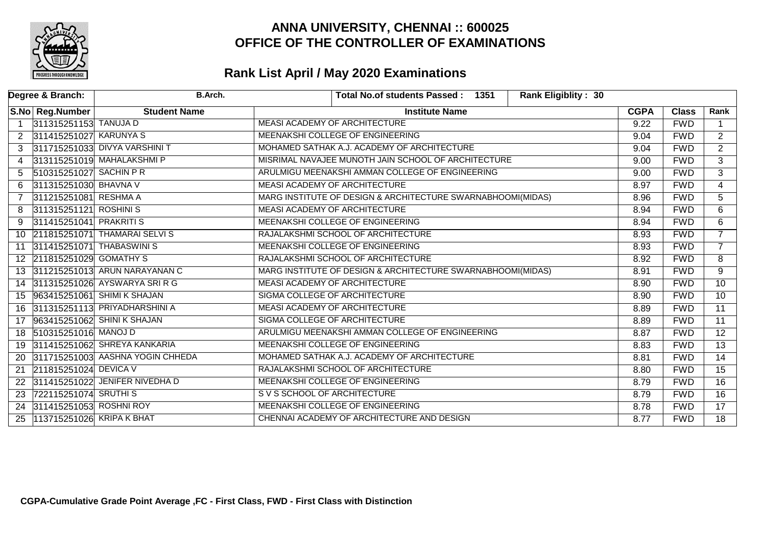

|                | Degree & Branch:          | <b>B.Arch.</b>                   | <b>Rank Eligiblity: 30</b><br><b>Total No.of students Passed:</b><br>1351 |             |              |                 |
|----------------|---------------------------|----------------------------------|---------------------------------------------------------------------------|-------------|--------------|-----------------|
|                | S.No Reg.Number           | <b>Student Name</b>              | <b>Institute Name</b>                                                     | <b>CGPA</b> | <b>Class</b> | Rank            |
| $\overline{1}$ | 311315251153 TANUJA D     |                                  | MEASI ACADEMY OF ARCHITECTURE                                             | 9.22        | <b>FWD</b>   | $\mathbf{1}$    |
| 2              | 311415251027 KARUNYA S    |                                  | MEENAKSHI COLLEGE OF ENGINEERING                                          | 9.04        | <b>FWD</b>   | $\overline{2}$  |
| 3              |                           | 311715251033 DIVYA VARSHINI T    | MOHAMED SATHAK A.J. ACADEMY OF ARCHITECTURE                               | 9.04        | <b>FWD</b>   | $\overline{2}$  |
| 4              |                           | 313115251019 MAHALAKSHMI P       | MISRIMAL NAVAJEE MUNOTH JAIN SCHOOL OF ARCHITECTURE                       | 9.00        | <b>FWD</b>   | $\overline{3}$  |
| 5              | 510315251027 SACHIN PR    |                                  | ARULMIGU MEENAKSHI AMMAN COLLEGE OF ENGINEERING                           |             | <b>FWD</b>   | $\overline{3}$  |
| 6              | 311315251030 BHAVNA V     |                                  | <b>MEASI ACADEMY OF ARCHITECTURE</b>                                      |             | <b>FWD</b>   | 4               |
|                | 311215251081 RESHMA A     |                                  | MARG INSTITUTE OF DESIGN & ARCHITECTURE SWARNABHOOMI(MIDAS)               | 8.96        | <b>FWD</b>   | $\overline{5}$  |
| 8              | 311315251121 ROSHINIS     |                                  | MEASI ACADEMY OF ARCHITECTURE                                             | 8.94        | <b>FWD</b>   | 6               |
| 9              | 311415251041 PRAKRITI S   |                                  | MEENAKSHI COLLEGE OF ENGINEERING                                          | 8.94        | <b>FWD</b>   | 6               |
|                |                           | 10 211815251071 THAMARAI SELVIS  | RAJALAKSHMI SCHOOL OF ARCHITECTURE                                        | 8.93        | <b>FWD</b>   | $\overline{7}$  |
| 11             |                           | 311415251071 THABASWINIS         | MEENAKSHI COLLEGE OF ENGINEERING                                          | 8.93        | <b>FWD</b>   | $\overline{7}$  |
|                | 12 211815251029 GOMATHY S |                                  | RAJALAKSHMI SCHOOL OF ARCHITECTURE                                        |             | <b>FWD</b>   | 8               |
|                |                           | 311215251013 ARUN NARAYANAN C    | MARG INSTITUTE OF DESIGN & ARCHITECTURE SWARNABHOOMI(MIDAS)               |             | <b>FWD</b>   | 9               |
|                |                           | 14 311315251026 AYSWARYA SRI R G | MEASI ACADEMY OF ARCHITECTURE                                             | 8.90        | <b>FWD</b>   | 10              |
|                |                           | 15 963415251061 SHIMI K SHAJAN   | SIGMA COLLEGE OF ARCHITECTURE                                             | 8.90        | <b>FWD</b>   | 10 <sup>°</sup> |
| 16             |                           | 311315251113 PRIYADHARSHINI A    | MEASI ACADEMY OF ARCHITECTURE                                             | 8.89        | <b>FWD</b>   | $\overline{11}$ |
| 17             |                           | 963415251062 SHINI K SHAJAN      | <b>SIGMA COLLEGE OF ARCHITECTURE</b>                                      | 8.89        | <b>FWD</b>   | $\overline{11}$ |
| 18             | 510315251016 MANOJ D      |                                  | ARULMIGU MEENAKSHI AMMAN COLLEGE OF ENGINEERING                           | 8.87        | <b>FWD</b>   | $\overline{12}$ |
| 19             |                           | 311415251062 SHREYA KANKARIA     | MEENAKSHI COLLEGE OF ENGINEERING                                          | 8.83        | <b>FWD</b>   | $\overline{13}$ |
| 20             |                           | 311715251003 AASHNA YOGIN CHHEDA | MOHAMED SATHAK A.J. ACADEMY OF ARCHITECTURE                               | 8.81        | <b>FWD</b>   | 14              |
| 21             | 211815251024 DEVICA V     |                                  | RAJALAKSHMI SCHOOL OF ARCHITECTURE                                        | 8.80        | <b>FWD</b>   | $\overline{15}$ |
| 22             |                           | 311415251022 JENIFER NIVEDHA D   | MEENAKSHI COLLEGE OF ENGINEERING                                          | 8.79        | <b>FWD</b>   | 16              |
| 23             | 722115251074 SRUTHIS      |                                  | S V S SCHOOL OF ARCHITECTURE                                              | 8.79        | <b>FWD</b>   | $\overline{16}$ |
| 24             | 311415251053 ROSHNI ROY   |                                  | MEENAKSHI COLLEGE OF ENGINEERING                                          | 8.78        | <b>FWD</b>   | $\overline{17}$ |
| 25             | 113715251026 KRIPA K BHAT |                                  | CHENNAI ACADEMY OF ARCHITECTURE AND DESIGN                                | 8.77        | <b>FWD</b>   | $\overline{18}$ |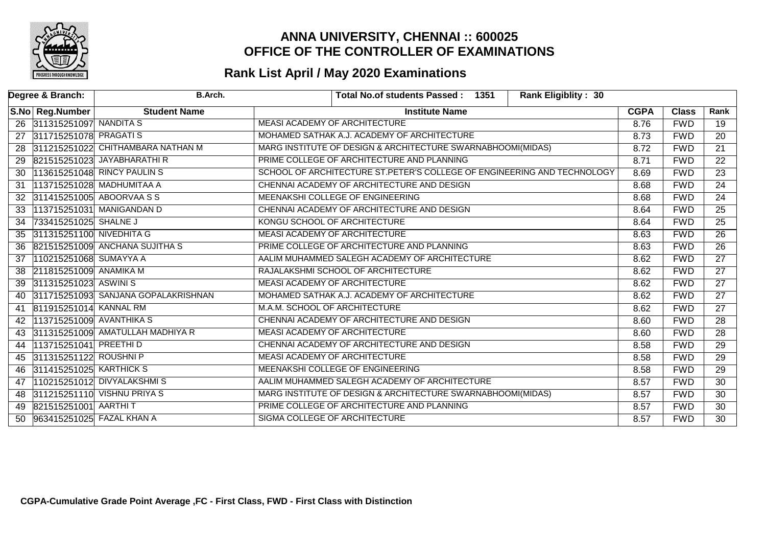

|    | Degree & Branch:          | <b>B.Arch.</b>                      | <b>Rank Eligiblity: 30</b><br>Total No.of students Passed: 1351         |             |              |                 |
|----|---------------------------|-------------------------------------|-------------------------------------------------------------------------|-------------|--------------|-----------------|
|    | S.No Reg.Number           | <b>Student Name</b>                 | <b>Institute Name</b>                                                   | <b>CGPA</b> | <b>Class</b> | Rank            |
|    | 26 311315251097 NANDITA S |                                     | MEASI ACADEMY OF ARCHITECTURE                                           | 8.76        | <b>FWD</b>   | 19              |
| 27 | 311715251078 PRAGATI S    |                                     | MOHAMED SATHAK A.J. ACADEMY OF ARCHITECTURE                             | 8.73        | <b>FWD</b>   | 20              |
| 28 |                           | 311215251022 CHITHAMBARA NATHAN M   | MARG INSTITUTE OF DESIGN & ARCHITECTURE SWARNABHOOMI(MIDAS)             | 8.72        | <b>FWD</b>   | $\overline{21}$ |
|    |                           | 29 821515251023 JAYABHARATHIR       | PRIME COLLEGE OF ARCHITECTURE AND PLANNING                              | 8.71        | <b>FWD</b>   | $\overline{22}$ |
| 30 |                           | 113615251048 RINCY PAULIN S         | SCHOOL OF ARCHITECTURE ST.PETER'S COLLEGE OF ENGINEERING AND TECHNOLOGY | 8.69        | <b>FWD</b>   | $\overline{23}$ |
| 31 |                           | 113715251028 MADHUMITAA A           | CHENNAI ACADEMY OF ARCHITECTURE AND DESIGN                              | 8.68        | <b>FWD</b>   | $\overline{24}$ |
| 32 |                           | 311415251005 ABOORVAA S S           | MEENAKSHI COLLEGE OF ENGINEERING                                        | 8.68        | <b>FWD</b>   | $\overline{24}$ |
| 33 |                           | 113715251031 MANIGANDAN D           | CHENNAI ACADEMY OF ARCHITECTURE AND DESIGN                              | 8.64        | <b>FWD</b>   | $\overline{25}$ |
| 34 | 733415251025 SHALNE J     |                                     | KONGU SCHOOL OF ARCHITECTURE                                            | 8.64        | <b>FWD</b>   | 25              |
| 35 | 311315251100 NIVEDHITA G  |                                     | MEASI ACADEMY OF ARCHITECTURE                                           | 8.63        | <b>FWD</b>   | $\overline{26}$ |
| 36 |                           | 821515251009 ANCHANA SUJITHA S      | PRIME COLLEGE OF ARCHITECTURE AND PLANNING                              | 8.63        | <b>FWD</b>   | $\overline{26}$ |
| 37 | 110215251068 SUMAYYA A    |                                     | AALIM MUHAMMED SALEGH ACADEMY OF ARCHITECTURE                           |             | <b>FWD</b>   | $\overline{27}$ |
| 38 | 211815251009 ANAMIKA M    |                                     | RAJALAKSHMI SCHOOL OF ARCHITECTURE                                      |             | <b>FWD</b>   | $\overline{27}$ |
| 39 | 311315251023 ASWINIS      |                                     | MEASI ACADEMY OF ARCHITECTURE                                           | 8.62        | <b>FWD</b>   | $\overline{27}$ |
| 40 |                           | 311715251093 SANJANA GOPALAKRISHNAN | MOHAMED SATHAK A.J. ACADEMY OF ARCHITECTURE                             | 8.62        | <b>FWD</b>   | $\overline{27}$ |
| 41 | 811915251014 KANNAL RM    |                                     | M.A.M. SCHOOL OF ARCHITECTURE                                           | 8.62        | <b>FWD</b>   | $\overline{27}$ |
| 42 | 113715251009 AVANTHIKA S  |                                     | CHENNAI ACADEMY OF ARCHITECTURE AND DESIGN                              | 8.60        | <b>FWD</b>   | $\overline{28}$ |
| 43 |                           | 311315251009 AMATULLAH MADHIYA R    | MEASI ACADEMY OF ARCHITECTURE                                           | 8.60        | <b>FWD</b>   | $\overline{28}$ |
| 44 | 113715251041 PREETHID     |                                     | CHENNAI ACADEMY OF ARCHITECTURE AND DESIGN                              | 8.58        | <b>FWD</b>   | $\overline{29}$ |
|    | 45 311315251122 ROUSHNI P |                                     | MEASI ACADEMY OF ARCHITECTURE                                           | 8.58        | <b>FWD</b>   | $\overline{29}$ |
| 46 | 311415251025 KARTHICK S   |                                     | MEENAKSHI COLLEGE OF ENGINEERING                                        | 8.58        | <b>FWD</b>   | $\overline{29}$ |
| 47 |                           | 110215251012 DIVYALAKSHMIS          | AALIM MUHAMMED SALEGH ACADEMY OF ARCHITECTURE                           | 8.57        | <b>FWD</b>   | $\overline{30}$ |
| 48 |                           | 311215251110 VISHNU PRIYA S         | MARG INSTITUTE OF DESIGN & ARCHITECTURE SWARNABHOOMI(MIDAS)             | 8.57        | <b>FWD</b>   | $\overline{30}$ |
| 49 | 821515251001 AARTHIT      |                                     | PRIME COLLEGE OF ARCHITECTURE AND PLANNING                              | 8.57        | <b>FWD</b>   | $\overline{30}$ |
| 50 | 963415251025 FAZAL KHAN A |                                     | SIGMA COLLEGE OF ARCHITECTURE                                           | 8.57        | <b>FWD</b>   | $\overline{30}$ |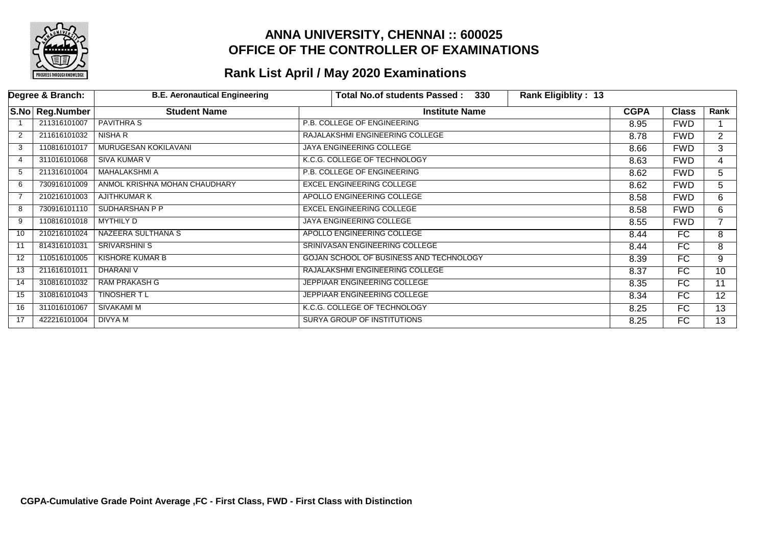

|    | Degree & Branch:  | <b>B.E. Aeronautical Engineering</b> | Total No.of students Passed:<br>330     | <b>Rank Eligiblity: 13</b> |             |              |                |
|----|-------------------|--------------------------------------|-----------------------------------------|----------------------------|-------------|--------------|----------------|
|    | S.No   Reg.Number | <b>Student Name</b>                  | <b>Institute Name</b>                   |                            | <b>CGPA</b> | <b>Class</b> | Rank           |
|    | 211316101007      | <b>PAVITHRA S</b>                    | P.B. COLLEGE OF ENGINEERING             |                            | 8.95        | <b>FWD</b>   |                |
| 2  | 211616101032      | NISHA R                              | RAJALAKSHMI ENGINEERING COLLEGE         |                            | 8.78        | <b>FWD</b>   | $\overline{2}$ |
| 3  | 110816101017      | MURUGESAN KOKILAVANI                 | JAYA ENGINEERING COLLEGE                |                            | 8.66        | <b>FWD</b>   | 3              |
|    | 311016101068      | <b>SIVA KUMAR V</b>                  | K.C.G. COLLEGE OF TECHNOLOGY            |                            | 8.63        | <b>FWD</b>   | 4              |
| 5  | 211316101004      | <b>MAHALAKSHMI A</b>                 | P.B. COLLEGE OF ENGINEERING             |                            | 8.62        | <b>FWD</b>   | 5              |
| 6  | 730916101009      | ANMOL KRISHNA MOHAN CHAUDHARY        | <b>EXCEL ENGINEERING COLLEGE</b>        |                            | 8.62        | <b>FWD</b>   | 5              |
|    | 210216101003      | AJITHKUMAR K                         | APOLLO ENGINEERING COLLEGE              |                            | 8.58        | <b>FWD</b>   | 6              |
| 8  | 730916101110      | SUDHARSHAN P P                       | <b>EXCEL ENGINEERING COLLEGE</b>        |                            | 8.58        | <b>FWD</b>   | 6              |
| 9  | 110816101018      | <b>MYTHILY D</b>                     | JAYA ENGINEERING COLLEGE                |                            | 8.55        | <b>FWD</b>   |                |
| 10 | 210216101024      | NAZEERA SULTHANA S                   | APOLLO ENGINEERING COLLEGE              |                            | 8.44        | FC           | 8              |
| 11 | 814316101031      | <b>SRIVARSHINI S</b>                 | SRINIVASAN ENGINEERING COLLEGE          |                            | 8.44        | FC           | 8              |
| 12 | 110516101005      | <b>KISHORE KUMAR B</b>               | GOJAN SCHOOL OF BUSINESS AND TECHNOLOGY |                            | 8.39        | FC           | 9              |
| 13 | 211616101011      | <b>DHARANI V</b>                     | RAJALAKSHMI ENGINEERING COLLEGE         |                            | 8.37        | FC           | 10             |
| 14 | 310816101032      | <b>RAM PRAKASH G</b>                 | JEPPIAAR ENGINEERING COLLEGE            |                            | 8.35        | FC           | 11             |
| 15 | 310816101043      | TINOSHER T L                         | JEPPIAAR ENGINEERING COLLEGE            |                            | 8.34        | FC           | 12             |
| 16 | 311016101067      | SIVAKAMI M                           | K.C.G. COLLEGE OF TECHNOLOGY            |                            | 8.25        | FC           | 13             |
| 17 | 422216101004      | DIVYA M                              | SURYA GROUP OF INSTITUTIONS             |                            | 8.25        | FC           | 13             |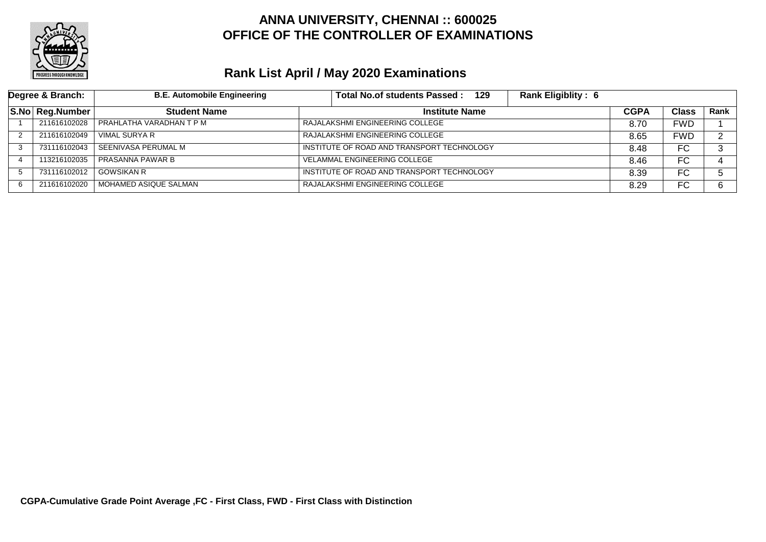

| Degree & Branch: |                 | <b>B.E. Automobile Engineering</b> | <b>Rank Eligiblity: 6</b><br>Total No.of students Passed:<br>129 |             |              |        |
|------------------|-----------------|------------------------------------|------------------------------------------------------------------|-------------|--------------|--------|
|                  | S.No Reg.Number | <b>Student Name</b>                | <b>Institute Name</b>                                            | <b>CGPA</b> | <b>Class</b> | Rank   |
|                  | 211616102028    | I PRAHLATHA VARADHAN T P M         | RAJALAKSHMI ENGINEERING COLLEGE                                  | 8.70        | <b>FWD</b>   |        |
|                  | 211616102049    | VIMAL SURYA R                      | RAJALAKSHMI ENGINEERING COLLEGE                                  |             | <b>FWD</b>   | $\sim$ |
|                  | 731116102043    | SEENIVASA PERUMAL M                | INSTITUTE OF ROAD AND TRANSPORT TECHNOLOGY                       | 8.48        | FC.          | ົ      |
|                  | 113216102035    | PRASANNA PAWAR B                   | <b>VELAMMAL ENGINEERING COLLEGE</b>                              | 8.46        | FC           |        |
|                  | 731116102012    | <b>GOWSIKAN R</b>                  | INSTITUTE OF ROAD AND TRANSPORT TECHNOLOGY                       | 8.39        | FC           |        |
| 6                | 211616102020    | l MOHAMED ASIQUE SALMAN            | RAJALAKSHMI ENGINEERING COLLEGE                                  | 8.29        | FC           | 6.     |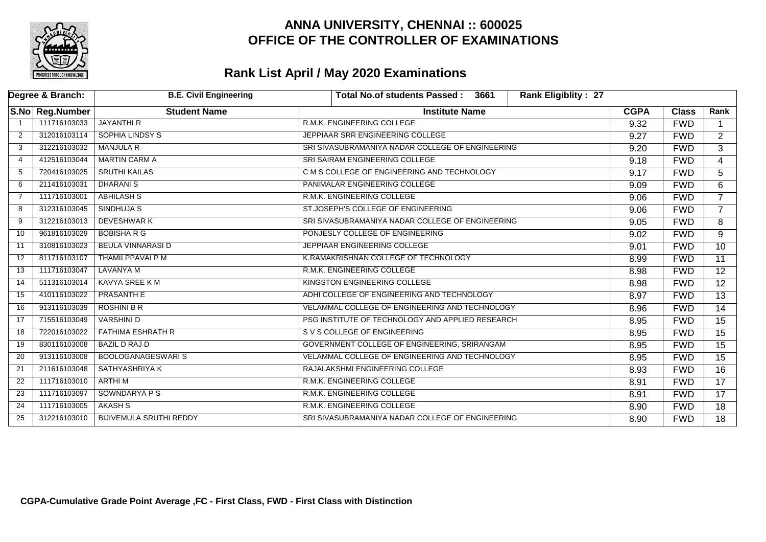

|                | Degree & Branch: | <b>B.E. Civil Engineering</b>  | <b>Rank Eligiblity: 27</b><br>Total No.of students Passed:<br>3661 |             |              |                 |
|----------------|------------------|--------------------------------|--------------------------------------------------------------------|-------------|--------------|-----------------|
|                | S.No Reg.Number  | <b>Student Name</b>            | <b>Institute Name</b>                                              | <b>CGPA</b> | <b>Class</b> | Rank            |
|                | 111716103033     | <b>JAYANTHI R</b>              | R.M.K. ENGINEERING COLLEGE                                         | 9.32        | <b>FWD</b>   |                 |
| 2              | 312016103114     | <b>SOPHIA LINDSY S</b>         | JEPPIAAR SRR ENGINEERING COLLEGE                                   | 9.27        | <b>FWD</b>   | $\overline{2}$  |
| 3              | 312216103032     | <b>MANJULA R</b>               | SRI SIVASUBRAMANIYA NADAR COLLEGE OF ENGINEERING                   | 9.20        | <b>FWD</b>   | $\overline{3}$  |
| 4              | 412516103044     | <b>MARTIN CARM A</b>           | SRI SAIRAM ENGINEERING COLLEGE                                     | 9.18        | <b>FWD</b>   | $\overline{4}$  |
| -5             | 720416103025     | <b>SRUTHI KAILAS</b>           | C M S COLLEGE OF ENGINEERING AND TECHNOLOGY                        | 9.17        | <b>FWD</b>   | 5               |
| 6              | 211416103031     | <b>DHARANIS</b>                | PANIMALAR ENGINEERING COLLEGE                                      | 9.09        | <b>FWD</b>   | 6               |
| $\overline{7}$ | 111716103001     | <b>ABHILASH S</b>              | R.M.K. ENGINEERING COLLEGE                                         | 9.06        | <b>FWD</b>   | $\overline{7}$  |
| 8              | 312316103045     | SINDHUJA S                     | ST.JOSEPH'S COLLEGE OF ENGINEERING                                 | 9.06        | <b>FWD</b>   | $\overline{7}$  |
| 9              | 312216103013     | <b>DEVESHWARK</b>              | SRI SIVASUBRAMANIYA NADAR COLLEGE OF ENGINEERING                   | 9.05        | <b>FWD</b>   | 8               |
| 10             | 961816103029     | <b>BOBISHA R G</b>             | PONJESLY COLLEGE OF ENGINEERING                                    | 9.02        | <b>FWD</b>   | 9               |
| 11             | 310816103023     | <b>BEULA VINNARASI D</b>       | JEPPIAAR ENGINEERING COLLEGE                                       | 9.01        | <b>FWD</b>   | $\overline{10}$ |
| 12             | 811716103107     | THAMILPPAVAI P M               | K.RAMAKRISHNAN COLLEGE OF TECHNOLOGY                               | 8.99        | <b>FWD</b>   | $\overline{11}$ |
| 13             | 111716103047     | LAVANYA M                      | R.M.K. ENGINEERING COLLEGE                                         | 8.98        | <b>FWD</b>   | $\overline{12}$ |
| 14             | 511316103014     | <b>KAVYA SREE KM</b>           | <b>KINGSTON ENGINEERING COLLEGE</b>                                | 8.98        | <b>FWD</b>   | $\overline{12}$ |
| 15             | 410116103022     | <b>PRASANTH E</b>              | ADHI COLLEGE OF ENGINEERING AND TECHNOLOGY                         | 8.97        | <b>FWD</b>   | $\overline{13}$ |
| 16             | 913116103039     | <b>ROSHINI B R</b>             | VELAMMAL COLLEGE OF ENGINEERING AND TECHNOLOGY                     | 8.96        | <b>FWD</b>   | $\overline{14}$ |
| 17             | 715516103049     | <b>VARSHINI D</b>              | PSG INSTITUTE OF TECHNOLOGY AND APPLIED RESEARCH                   | 8.95        | <b>FWD</b>   | 15              |
| 18             | 722016103022     | <b>FATHIMA ESHRATH R</b>       | S V S COLLEGE OF ENGINEERING                                       | 8.95        | <b>FWD</b>   | $\overline{15}$ |
| 19             | 830116103008     | <b>BAZIL D RAJ D</b>           | GOVERNMENT COLLEGE OF ENGINEERING, SRIRANGAM                       | 8.95        | <b>FWD</b>   | $\overline{15}$ |
| 20             | 913116103008     | <b>BOOLOGANAGESWARIS</b>       | VELAMMAL COLLEGE OF ENGINEERING AND TECHNOLOGY                     | 8.95        | <b>FWD</b>   | $\overline{15}$ |
| 21             | 211616103048     | <b>SATHYASHRIYA K</b>          | RAJALAKSHMI ENGINEERING COLLEGE                                    | 8.93        | <b>FWD</b>   | 16              |
| 22             | 111716103010     | <b>ARTHIM</b>                  | R.M.K. ENGINEERING COLLEGE                                         | 8.91        | <b>FWD</b>   | $\overline{17}$ |
| 23             | 111716103097     | <b>SOWNDARYA P S</b>           | R.M.K. ENGINEERING COLLEGE                                         | 8.91        | <b>FWD</b>   | 17              |
| 24             | 111716103005     | AKASH S                        | R.M.K. ENGINEERING COLLEGE                                         | 8.90        | <b>FWD</b>   | $\overline{18}$ |
| 25             | 312216103010     | <b>BIJIVEMULA SRUTHI REDDY</b> | SRI SIVASUBRAMANIYA NADAR COLLEGE OF ENGINEERING                   | 8.90        | <b>FWD</b>   | $\overline{18}$ |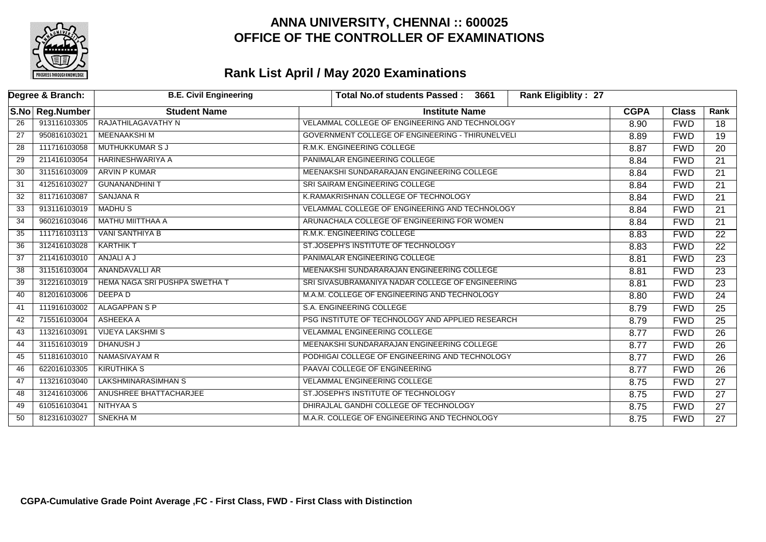

|                 | Degree & Branch:  | <b>B.E. Civil Engineering</b>        | <b>Rank Eligiblity: 27</b><br>Total No.of students Passed:<br>3661 |             |              |                 |
|-----------------|-------------------|--------------------------------------|--------------------------------------------------------------------|-------------|--------------|-----------------|
|                 | S.No   Reg.Number | <b>Student Name</b>                  | <b>Institute Name</b>                                              | <b>CGPA</b> | <b>Class</b> | Rank            |
| 26              | 913116103305      | RAJATHILAGAVATHY N                   | VELAMMAL COLLEGE OF ENGINEERING AND TECHNOLOGY                     | 8.90        | <b>FWD</b>   | 18              |
| $\overline{27}$ | 950816103021      | <b>MEENAAKSHIM</b>                   | GOVERNMENT COLLEGE OF ENGINEERING - THIRUNELVELI                   | 8.89        | <b>FWD</b>   | $\overline{19}$ |
| 28              | 111716103058      | <b>MUTHUKKUMAR S J</b>               | R.M.K. ENGINEERING COLLEGE                                         | 8.87        | <b>FWD</b>   | $\overline{20}$ |
| 29              | 211416103054      | <b>HARINESHWARIYA A</b>              | PANIMALAR ENGINEERING COLLEGE                                      | 8.84        | <b>FWD</b>   | 21              |
| 30              | 311516103009      | <b>ARVIN P KUMAR</b>                 | MEENAKSHI SUNDARARAJAN ENGINEERING COLLEGE                         | 8.84        | <b>FWD</b>   | 21              |
| 31              | 412516103027      | <b>GUNANANDHINI T</b>                | SRI SAIRAM ENGINEERING COLLEGE                                     | 8.84        | <b>FWD</b>   | $\overline{21}$ |
| 32              | 811716103087      | <b>SANJANA R</b>                     | K.RAMAKRISHNAN COLLEGE OF TECHNOLOGY                               | 8.84        | <b>FWD</b>   | $\overline{21}$ |
| 33              | 913116103019      | <b>MADHUS</b>                        | VELAMMAL COLLEGE OF ENGINEERING AND TECHNOLOGY                     | 8.84        | <b>FWD</b>   | 21              |
| 34              | 960216103046      | MATHU MIITTHAA A                     | ARUNACHALA COLLEGE OF ENGINEERING FOR WOMEN                        | 8.84        | <b>FWD</b>   | 21              |
| 35              | 111716103113      | <b>VANI SANTHIYA B</b>               | R.M.K. ENGINEERING COLLEGE                                         | 8.83        | <b>FWD</b>   | $\overline{22}$ |
| 36              | 312416103028      | <b>KARTHIK T</b>                     | ST.JOSEPH'S INSTITUTE OF TECHNOLOGY                                | 8.83        | <b>FWD</b>   | $\overline{22}$ |
| 37              | 211416103010      | ANJALI A J                           | PANIMALAR ENGINEERING COLLEGE                                      | 8.81        | <b>FWD</b>   | $\overline{23}$ |
| 38              | 311516103004      | ANANDAVALLI AR                       | MEENAKSHI SUNDARARAJAN ENGINEERING COLLEGE                         | 8.81        | <b>FWD</b>   | 23              |
| 39              | 312216103019      | <b>HEMA NAGA SRI PUSHPA SWETHA T</b> | SRI SIVASUBRAMANIYA NADAR COLLEGE OF ENGINEERING                   | 8.81        | <b>FWD</b>   | $\overline{23}$ |
| 40              | 812016103006      | DEEPA D                              | M.A.M. COLLEGE OF ENGINEERING AND TECHNOLOGY                       | 8.80        | <b>FWD</b>   | $\overline{24}$ |
| 41              | 111916103002      | <b>ALAGAPPAN S P</b>                 | S.A. ENGINEERING COLLEGE                                           | 8.79        | <b>FWD</b>   | $\overline{25}$ |
| 42              | 715516103004      | ASHEEKA A                            | PSG INSTITUTE OF TECHNOLOGY AND APPLIED RESEARCH                   | 8.79        | <b>FWD</b>   | 25              |
| 43              | 113216103091      | <b>VIJEYA LAKSHMI S</b>              | <b>VELAMMAL ENGINEERING COLLEGE</b>                                | 8.77        | <b>FWD</b>   | $\overline{26}$ |
| 44              | 311516103019      | <b>DHANUSH J</b>                     | MEENAKSHI SUNDARARAJAN ENGINEERING COLLEGE                         | 8.77        | <b>FWD</b>   | $\overline{26}$ |
| 45              | 511816103010      | NAMASIVAYAM R                        | PODHIGAI COLLEGE OF ENGINEERING AND TECHNOLOGY                     | 8.77        | <b>FWD</b>   | $\overline{26}$ |
| 46              | 622016103305      | <b>KIRUTHIKA S</b>                   | PAAVAI COLLEGE OF ENGINEERING                                      | 8.77        | <b>FWD</b>   | 26              |
| 47              | 113216103040      | <b>LAKSHMINARASIMHAN S</b>           | <b>VELAMMAL ENGINEERING COLLEGE</b>                                | 8.75        | <b>FWD</b>   | $\overline{27}$ |
| 48              | 312416103006      | ANUSHREE BHATTACHARJEE               | ST.JOSEPH'S INSTITUTE OF TECHNOLOGY                                | 8.75        | <b>FWD</b>   | 27              |
| 49              | 610516103041      | NITHYAA S                            | DHIRAJLAL GANDHI COLLEGE OF TECHNOLOGY                             | 8.75        | <b>FWD</b>   | $\overline{27}$ |
| 50              | 812316103027      | SNEKHA M                             | M.A.R. COLLEGE OF ENGINEERING AND TECHNOLOGY                       | 8.75        | <b>FWD</b>   | $\overline{27}$ |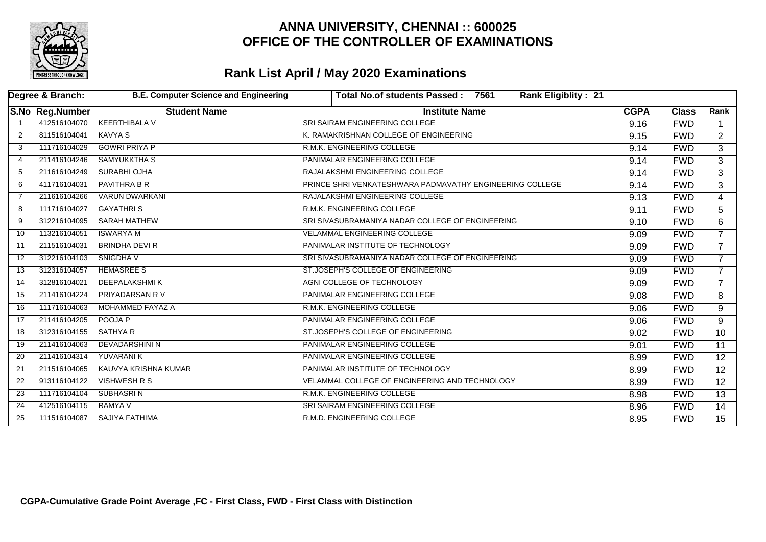

| Degree & Branch: |                 | <b>B.E. Computer Science and Engineering</b> | <b>Rank Eligiblity: 21</b><br>Total No.of students Passed :<br>7561 |             |              |                 |
|------------------|-----------------|----------------------------------------------|---------------------------------------------------------------------|-------------|--------------|-----------------|
|                  | S.No Reg.Number | <b>Student Name</b>                          | <b>Institute Name</b>                                               | <b>CGPA</b> | <b>Class</b> | Rank            |
|                  | 412516104070    | <b>KEERTHIBALA V</b>                         | SRI SAIRAM ENGINEERING COLLEGE                                      | 9.16        | <b>FWD</b>   |                 |
| 2                | 811516104041    | <b>KAVYA S</b>                               | K. RAMAKRISHNAN COLLEGE OF ENGINEERING                              | 9.15        | <b>FWD</b>   | $\overline{2}$  |
| 3                | 111716104029    | <b>GOWRI PRIYA P</b>                         | R.M.K. ENGINEERING COLLEGE                                          | 9.14        | <b>FWD</b>   | 3               |
| $\overline{4}$   | 211416104246    | <b>SAMYUKKTHA S</b>                          | PANIMALAR ENGINEERING COLLEGE                                       | 9.14        | <b>FWD</b>   | 3               |
| 5                | 211616104249    | <b>SURABHI OJHA</b>                          | RAJALAKSHMI ENGINEERING COLLEGE                                     | 9.14        | <b>FWD</b>   | 3               |
| 6                | 411716104031    | <b>PAVITHRA B R</b>                          | PRINCE SHRI VENKATESHWARA PADMAVATHY ENGINEERING COLLEGE            | 9.14        | <b>FWD</b>   | 3               |
| $\overline{7}$   | 211616104266    | <b>VARUN DWARKANI</b>                        | RAJALAKSHMI ENGINEERING COLLEGE                                     | 9.13        | <b>FWD</b>   | $\overline{4}$  |
| 8                | 111716104027    | <b>GAYATHRIS</b>                             | R.M.K. ENGINEERING COLLEGE                                          | 9.11        | <b>FWD</b>   | $\overline{5}$  |
| 9                | 312216104095    | <b>SARAH MATHEW</b>                          | SRI SIVASUBRAMANIYA NADAR COLLEGE OF ENGINEERING                    | 9.10        | <b>FWD</b>   | 6               |
| 10               | 113216104051    | <b>ISWARYA M</b>                             | VELAMMAL ENGINEERING COLLEGE                                        | 9.09        | <b>FWD</b>   | $\overline{7}$  |
| 11               | 211516104031    | <b>BRINDHA DEVI R</b>                        | PANIMALAR INSTITUTE OF TECHNOLOGY                                   | 9.09        | <b>FWD</b>   | $\overline{7}$  |
| 12               | 312216104103    | SNIGDHA V                                    | SRI SIVASUBRAMANIYA NADAR COLLEGE OF ENGINEERING                    | 9.09        | <b>FWD</b>   | $\overline{7}$  |
| 13               | 312316104057    | <b>HEMASREE S</b>                            | ST.JOSEPH'S COLLEGE OF ENGINEERING                                  | 9.09        | <b>FWD</b>   | $\overline{7}$  |
| 14               | 312816104021    | <b>DEEPALAKSHMIK</b>                         | AGNI COLLEGE OF TECHNOLOGY                                          | 9.09        | <b>FWD</b>   | $\overline{7}$  |
| 15               | 211416104224    | PRIYADARSAN R V                              | PANIMALAR ENGINEERING COLLEGE                                       | 9.08        | <b>FWD</b>   | 8               |
| 16               | 111716104063    | MOHAMMED FAYAZ A                             | R.M.K. ENGINEERING COLLEGE                                          | 9.06        | <b>FWD</b>   | 9               |
| 17               | 211416104205    | POOJA P                                      | PANIMALAR ENGINEERING COLLEGE                                       | 9.06        | <b>FWD</b>   | 9               |
| 18               | 312316104155    | SATHYA R                                     | ST.JOSEPH'S COLLEGE OF ENGINEERING                                  | 9.02        | <b>FWD</b>   | 10              |
| 19               | 211416104063    | DEVADARSHINI N                               | PANIMALAR ENGINEERING COLLEGE                                       | 9.01        | <b>FWD</b>   | $\overline{11}$ |
| 20               | 211416104314    | <b>YUVARANIK</b>                             | PANIMALAR ENGINEERING COLLEGE                                       | 8.99        | <b>FWD</b>   | 12 <sup>2</sup> |
| 21               | 211516104065    | KAUVYA KRISHNA KUMAR                         | PANIMALAR INSTITUTE OF TECHNOLOGY                                   | 8.99        | <b>FWD</b>   | $\overline{12}$ |
| 22               | 913116104122    | <b>VISHWESH R S</b>                          | VELAMMAL COLLEGE OF ENGINEERING AND TECHNOLOGY                      | 8.99        | <b>FWD</b>   | $\overline{12}$ |
| 23               | 111716104104    | SUBHASRI N                                   | R.M.K. ENGINEERING COLLEGE                                          | 8.98        | <b>FWD</b>   | $\overline{13}$ |
| 24               | 412516104115    | <b>RAMYA V</b>                               | SRI SAIRAM ENGINEERING COLLEGE                                      | 8.96        | <b>FWD</b>   | 14              |
| 25               | 111516104087    | <b>SAJIYA FATHIMA</b>                        | R.M.D. ENGINEERING COLLEGE                                          | 8.95        | <b>FWD</b>   | $\overline{15}$ |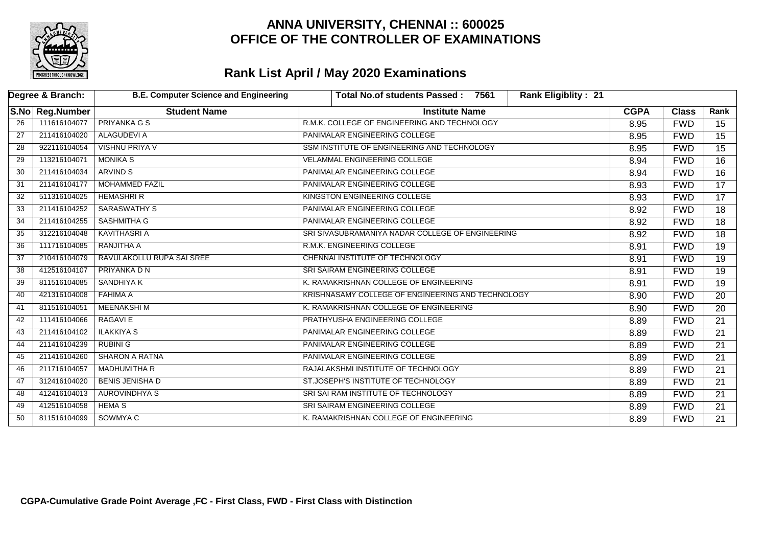

|                 | Degree & Branch:  | <b>B.E. Computer Science and Engineering</b> | <b>Total No.of students Passed:</b><br><b>Rank Eligiblity: 21</b><br>7561 |             |              |                 |
|-----------------|-------------------|----------------------------------------------|---------------------------------------------------------------------------|-------------|--------------|-----------------|
|                 | S.No   Reg.Number | <b>Student Name</b>                          | <b>Institute Name</b>                                                     | <b>CGPA</b> | <b>Class</b> | Rank            |
| 26              | 111616104077      | <b>PRIYANKA G S</b>                          | R.M.K. COLLEGE OF ENGINEERING AND TECHNOLOGY                              | 8.95        | <b>FWD</b>   | 15              |
| $\overline{27}$ | 211416104020      | ALAGUDEVI A                                  | PANIMALAR ENGINEERING COLLEGE                                             | 8.95        | <b>FWD</b>   | $\overline{15}$ |
| 28              | 922116104054      | <b>VISHNU PRIYA V</b>                        | SSM INSTITUTE OF ENGINEERING AND TECHNOLOGY                               | 8.95        | <b>FWD</b>   | $\overline{15}$ |
| 29              | 113216104071      | <b>MONIKA S</b>                              | <b>VELAMMAL ENGINEERING COLLEGE</b>                                       | 8.94        | <b>FWD</b>   | 16              |
| 30              | 211416104034      | <b>ARVIND S</b>                              | PANIMALAR ENGINEERING COLLEGE                                             | 8.94        | <b>FWD</b>   | 16              |
| 31              | 211416104177      | <b>MOHAMMED FAZIL</b>                        | PANIMALAR ENGINEERING COLLEGE                                             | 8.93        | <b>FWD</b>   | $\overline{17}$ |
| 32              | 511316104025      | <b>HEMASHRI R</b>                            | KINGSTON ENGINEERING COLLEGE                                              | 8.93        | <b>FWD</b>   | $\overline{17}$ |
| 33              | 211416104252      | SARASWATHY S                                 | PANIMALAR ENGINEERING COLLEGE                                             | 8.92        | <b>FWD</b>   | $\overline{18}$ |
| 34              | 211416104255      | SASHMITHA G                                  | PANIMALAR ENGINEERING COLLEGE                                             | 8.92        | <b>FWD</b>   | 18              |
| 35              | 312216104048      | <b>KAVITHASRI A</b>                          | SRI SIVASUBRAMANIYA NADAR COLLEGE OF ENGINEERING                          |             | <b>FWD</b>   | 18              |
| 36              | 111716104085      | RANJITHA A                                   | R.M.K. ENGINEERING COLLEGE                                                |             | <b>FWD</b>   | $\overline{19}$ |
| 37              | 210416104079      | RAVULAKOLLU RUPA SAI SREE                    | CHENNAI INSTITUTE OF TECHNOLOGY                                           |             | <b>FWD</b>   | 19              |
| 38              | 412516104107      | PRIYANKA D N                                 | SRI SAIRAM ENGINEERING COLLEGE                                            |             | <b>FWD</b>   | $\overline{19}$ |
| 39              | 811516104085      | <b>SANDHIYA K</b>                            | K. RAMAKRISHNAN COLLEGE OF ENGINEERING                                    | 8.91        | <b>FWD</b>   | $\overline{19}$ |
| 40              | 421316104008      | <b>FAHIMA A</b>                              | KRISHNASAMY COLLEGE OF ENGINEERING AND TECHNOLOGY                         | 8.90        | <b>FWD</b>   | 20              |
| 41              | 811516104051      | MEENAKSHI M                                  | K. RAMAKRISHNAN COLLEGE OF ENGINEERING                                    | 8.90        | <b>FWD</b>   | 20              |
| 42              | 111416104066      | <b>RAGAVIE</b>                               | PRATHYUSHA ENGINEERING COLLEGE                                            | 8.89        | <b>FWD</b>   | $\overline{21}$ |
| 43              | 211416104102      | <b>ILAKKIYA S</b>                            | PANIMALAR ENGINEERING COLLEGE                                             | 8.89        | <b>FWD</b>   | $\overline{21}$ |
| 44              | 211416104239      | <b>RUBINI G</b>                              | PANIMALAR ENGINEERING COLLEGE                                             | 8.89        | <b>FWD</b>   | $\overline{21}$ |
| 45              | 211416104260      | <b>SHARON A RATNA</b>                        | PANIMALAR ENGINEERING COLLEGE                                             | 8.89        | <b>FWD</b>   | 21              |
| 46              | 211716104057      | <b>MADHUMITHA R</b>                          | RAJALAKSHMI INSTITUTE OF TECHNOLOGY                                       | 8.89        | <b>FWD</b>   | $\overline{21}$ |
| 47              | 312416104020      | <b>BENIS JENISHA D</b>                       | ST.JOSEPH'S INSTITUTE OF TECHNOLOGY                                       | 8.89        | <b>FWD</b>   | $\overline{21}$ |
| 48              | 412416104013      | <b>AUROVINDHYA S</b>                         | SRI SAI RAM INSTITUTE OF TECHNOLOGY                                       | 8.89        | <b>FWD</b>   | $\overline{21}$ |
| 49              | 412516104058      | <b>HEMA S</b>                                | SRI SAIRAM ENGINEERING COLLEGE                                            | 8.89        | <b>FWD</b>   | $\overline{21}$ |
| 50              | 811516104099      | SOWMYA C                                     | K. RAMAKRISHNAN COLLEGE OF ENGINEERING                                    | 8.89        | <b>FWD</b>   | 21              |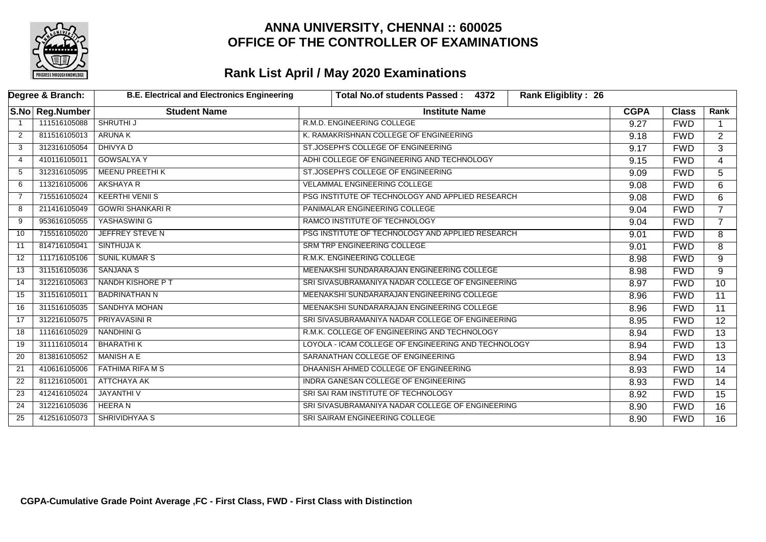

| Degree & Branch: |                 | <b>B.E. Electrical and Electronics Engineering</b> | <b>Rank Eligiblity: 26</b><br>Total No.of students Passed:<br>4372 |             |              |                 |
|------------------|-----------------|----------------------------------------------------|--------------------------------------------------------------------|-------------|--------------|-----------------|
|                  | S.No Reg.Number | <b>Student Name</b>                                | <b>Institute Name</b>                                              | <b>CGPA</b> | <b>Class</b> | Rank            |
|                  | 111516105088    | <b>SHRUTHI J</b>                                   | R.M.D. ENGINEERING COLLEGE                                         | 9.27        | <b>FWD</b>   |                 |
| 2                | 811516105013    | <b>ARUNAK</b>                                      | K. RAMAKRISHNAN COLLEGE OF ENGINEERING                             | 9.18        | <b>FWD</b>   | $\overline{2}$  |
| 3                | 312316105054    | <b>DHIVYA D</b>                                    | ST.JOSEPH'S COLLEGE OF ENGINEERING                                 | 9.17        | <b>FWD</b>   | $\overline{3}$  |
| 4                | 410116105011    | <b>GOWSALYA Y</b>                                  | ADHI COLLEGE OF ENGINEERING AND TECHNOLOGY                         | 9.15        | <b>FWD</b>   | $\overline{4}$  |
| -5               | 312316105095    | <b>MEENU PREETHIK</b>                              | ST.JOSEPH'S COLLEGE OF ENGINEERING                                 | 9.09        | <b>FWD</b>   | 5               |
| 6                | 113216105006    | AKSHAYA R                                          | <b>VELAMMAL ENGINEERING COLLEGE</b>                                | 9.08        | <b>FWD</b>   | 6               |
| $\overline{7}$   | 715516105024    | <b>KEERTHI VENII S</b>                             | PSG INSTITUTE OF TECHNOLOGY AND APPLIED RESEARCH                   | 9.08        | <b>FWD</b>   | 6               |
| 8                | 211416105049    | <b>GOWRI SHANKARI R</b>                            | PANIMALAR ENGINEERING COLLEGE                                      | 9.04        | <b>FWD</b>   | $\overline{7}$  |
| 9                | 953616105055    | YASHASWINI G                                       | RAMCO INSTITUTE OF TECHNOLOGY                                      | 9.04        | <b>FWD</b>   | $\overline{7}$  |
| 10               | 715516105020    | <b>JEFFREY STEVE N</b>                             | PSG INSTITUTE OF TECHNOLOGY AND APPLIED RESEARCH                   | 9.01        | <b>FWD</b>   | 8               |
| 11               | 814716105041    | <b>SINTHUJA K</b>                                  | SRM TRP ENGINEERING COLLEGE                                        | 9.01        | <b>FWD</b>   | 8               |
| 12               | 111716105106    | <b>SUNIL KUMAR S</b>                               | R.M.K. ENGINEERING COLLEGE                                         | 8.98        | <b>FWD</b>   | 9               |
| 13               | 311516105036    | <b>SANJANA S</b>                                   | MEENAKSHI SUNDARARAJAN ENGINEERING COLLEGE                         | 8.98        | <b>FWD</b>   | 9               |
| 14               | 312216105063    | NANDH KISHORE P T                                  | SRI SIVASUBRAMANIYA NADAR COLLEGE OF ENGINEERING                   | 8.97        | <b>FWD</b>   | $\overline{10}$ |
| 15               | 311516105011    | <b>BADRINATHAN N</b>                               | MEENAKSHI SUNDARARAJAN ENGINEERING COLLEGE                         | 8.96        | <b>FWD</b>   | $\overline{11}$ |
| 16               | 311516105035    | <b>SANDHYA MOHAN</b>                               | MEENAKSHI SUNDARARAJAN ENGINEERING COLLEGE                         | 8.96        | <b>FWD</b>   | $\overline{11}$ |
| 17               | 312216105075    | <b>PRIYAVASINI R</b>                               | SRI SIVASUBRAMANIYA NADAR COLLEGE OF ENGINEERING                   | 8.95        | <b>FWD</b>   | 12              |
| 18               | 111616105029    | <b>NANDHINI G</b>                                  | R.M.K. COLLEGE OF ENGINEERING AND TECHNOLOGY                       | 8.94        | <b>FWD</b>   | $\overline{13}$ |
| 19               | 311116105014    | <b>BHARATHIK</b>                                   | LOYOLA - ICAM COLLEGE OF ENGINEERING AND TECHNOLOGY                | 8.94        | <b>FWD</b>   | $\overline{13}$ |
| 20               | 813816105052    | MANISH A E                                         | SARANATHAN COLLEGE OF ENGINEERING                                  | 8.94        | <b>FWD</b>   | $\overline{13}$ |
| 21               | 410616105006    | <b>FATHIMA RIFA M S</b>                            | DHAANISH AHMED COLLEGE OF ENGINEERING                              | 8.93        | <b>FWD</b>   | 14              |
| 22               | 811216105001    | ATTCHAYA AK                                        | INDRA GANESAN COLLEGE OF ENGINEERING                               | 8.93        | <b>FWD</b>   | 14              |
| 23               | 412416105024    | <b>JAYANTHIV</b>                                   | SRI SAI RAM INSTITUTE OF TECHNOLOGY                                | 8.92        | <b>FWD</b>   | 15              |
| 24               | 312216105036    | <b>HEERAN</b>                                      | SRI SIVASUBRAMANIYA NADAR COLLEGE OF ENGINEERING                   | 8.90        | <b>FWD</b>   | 16              |
| 25               | 412516105073    | SHRIVIDHYAA S                                      | SRI SAIRAM ENGINEERING COLLEGE                                     | 8.90        | <b>FWD</b>   | $\overline{16}$ |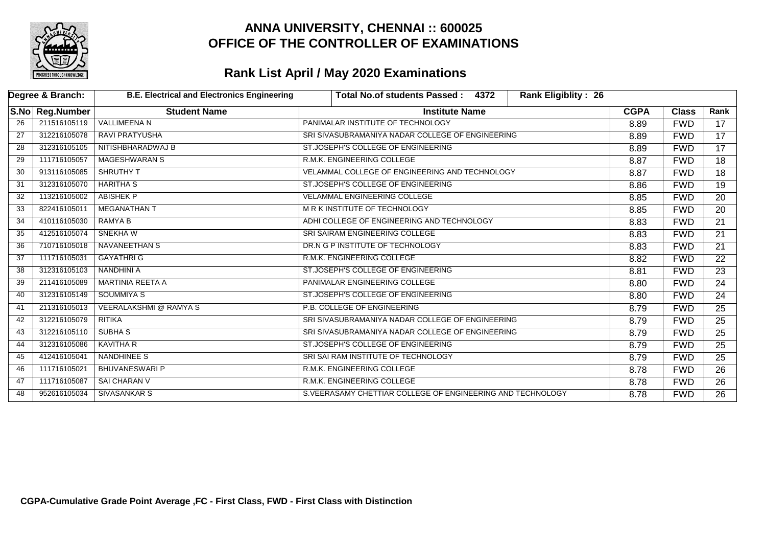

|     | Degree & Branch:  | <b>B.E. Electrical and Electronics Engineering</b> | <b>Rank Eligiblity: 26</b><br><b>Total No.of students Passed:</b><br>4372 |             |              |                 |
|-----|-------------------|----------------------------------------------------|---------------------------------------------------------------------------|-------------|--------------|-----------------|
|     | S.No   Reg.Number | <b>Student Name</b>                                | <b>Institute Name</b>                                                     | <b>CGPA</b> | <b>Class</b> | Rank            |
| 26  | 211516105119      | <b>VALLIMEENA N</b>                                | PANIMALAR INSTITUTE OF TECHNOLOGY                                         | 8.89        | <b>FWD</b>   | 17              |
| 27  | 312216105078      | <b>RAVI PRATYUSHA</b>                              | SRI SIVASUBRAMANIYA NADAR COLLEGE OF ENGINEERING                          | 8.89        | <b>FWD</b>   | $\overline{17}$ |
| 28  | 312316105105      | NITISHBHARADWAJ B                                  | ST.JOSEPH'S COLLEGE OF ENGINEERING                                        | 8.89        | <b>FWD</b>   | $\overline{17}$ |
| 29  | 111716105057      | <b>MAGESHWARAN S</b>                               | R.M.K. ENGINEERING COLLEGE                                                | 8.87        | <b>FWD</b>   | 18              |
| 30  | 913116105085      | <b>SHRUTHY T</b>                                   | VELAMMAL COLLEGE OF ENGINEERING AND TECHNOLOGY                            | 8.87        | <b>FWD</b>   | 18              |
| 31  | 312316105070      | <b>HARITHA S</b>                                   | ST.JOSEPH'S COLLEGE OF ENGINEERING                                        | 8.86        | <b>FWD</b>   | $\overline{19}$ |
| 32  | 113216105002      | <b>ABISHEK P</b>                                   | <b>VELAMMAL ENGINEERING COLLEGE</b>                                       | 8.85        | <b>FWD</b>   | 20              |
| 33  | 822416105011      | <b>MEGANATHAN T</b>                                | M R K INSTITUTE OF TECHNOLOGY                                             | 8.85        | <b>FWD</b>   | 20              |
| 34  | 410116105030      | RAMYA B                                            | ADHI COLLEGE OF ENGINEERING AND TECHNOLOGY                                | 8.83        | <b>FWD</b>   | $\overline{21}$ |
| 35  | 412516105074      | SNEKHA W                                           | SRI SAIRAM ENGINEERING COLLEGE                                            | 8.83        | <b>FWD</b>   | $\overline{21}$ |
| 36  | 710716105018      | NAVANEETHAN S                                      | DR.N G P INSTITUTE OF TECHNOLOGY                                          | 8.83        | <b>FWD</b>   | 21              |
| -37 | 111716105031      | <b>GAYATHRI G</b>                                  | R.M.K. ENGINEERING COLLEGE                                                | 8.82        | <b>FWD</b>   | 22              |
| 38  | 312316105103      | NANDHINI A                                         | ST.JOSEPH'S COLLEGE OF ENGINEERING                                        | 8.81        | <b>FWD</b>   | 23              |
| 39  | 211416105089      | <b>MARTINIA REETA A</b>                            | PANIMALAR ENGINEERING COLLEGE                                             | 8.80        | <b>FWD</b>   | 24              |
| 40  | 312316105149      | <b>SOUMMIYA S</b>                                  | ST.JOSEPH'S COLLEGE OF ENGINEERING                                        | 8.80        | <b>FWD</b>   | 24              |
| 41  | 211316105013      | <b>VEERALAKSHMI @ RAMYA S</b>                      | P.B. COLLEGE OF ENGINEERING                                               | 8.79        | <b>FWD</b>   | 25              |
| 42  | 312216105079      | <b>RITIKA</b>                                      | SRI SIVASUBRAMANIYA NADAR COLLEGE OF ENGINEERING                          | 8.79        | <b>FWD</b>   | 25              |
| 43  | 312216105110      | <b>SUBHA S</b>                                     | SRI SIVASUBRAMANIYA NADAR COLLEGE OF ENGINEERING                          | 8.79        | <b>FWD</b>   | 25              |
| 44  | 312316105086      | <b>KAVITHA R</b>                                   | ST.JOSEPH'S COLLEGE OF ENGINEERING                                        | 8.79        | <b>FWD</b>   | 25              |
| 45  | 412416105041      | <b>NANDHINEE S</b>                                 | SRI SAI RAM INSTITUTE OF TECHNOLOGY                                       | 8.79        | <b>FWD</b>   | 25              |
| 46  | 111716105021      | <b>BHUVANESWARI P</b>                              | R.M.K. ENGINEERING COLLEGE                                                | 8.78        | <b>FWD</b>   | $\overline{26}$ |
| 47  | 111716105087      | <b>SAI CHARAN V</b>                                | R.M.K. ENGINEERING COLLEGE                                                | 8.78        | <b>FWD</b>   | $\overline{26}$ |
| 48  | 952616105034      | <b>SIVASANKAR S</b>                                | S. VEERASAMY CHETTIAR COLLEGE OF ENGINEERING AND TECHNOLOGY               | 8.78        | <b>FWD</b>   | $\overline{26}$ |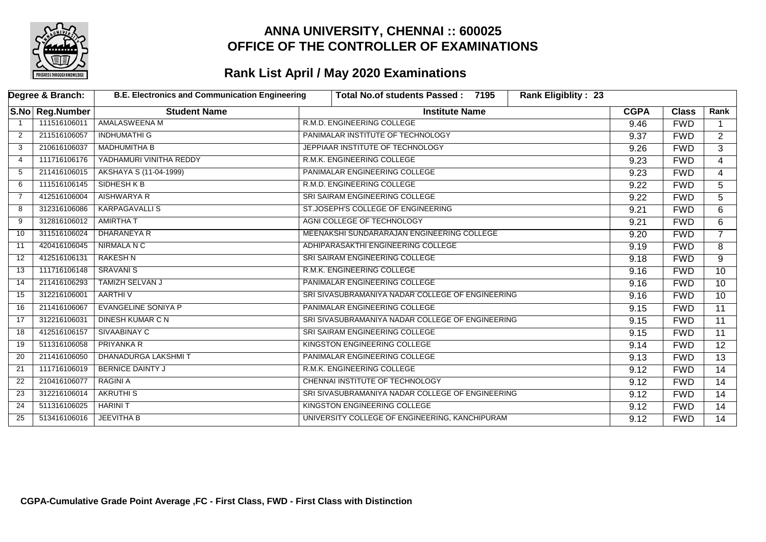

|                | Degree & Branch: | <b>B.E. Electronics and Communication Engineering</b> |  | <b>Rank Eligiblity: 23</b><br>Total No.of students Passed: 7195 |  |             |              |                 |
|----------------|------------------|-------------------------------------------------------|--|-----------------------------------------------------------------|--|-------------|--------------|-----------------|
|                | S.No Reg.Number  | <b>Student Name</b>                                   |  | <b>Institute Name</b>                                           |  | <b>CGPA</b> | <b>Class</b> | Rank            |
|                | 111516106011     | AMALASWEENA M                                         |  | R.M.D. ENGINEERING COLLEGE                                      |  | 9.46        | <b>FWD</b>   |                 |
| 2              | 211516106057     | <b>INDHUMATHI G</b>                                   |  | PANIMALAR INSTITUTE OF TECHNOLOGY                               |  | 9.37        | <b>FWD</b>   | $\overline{2}$  |
| 3              | 210616106037     | <b>MADHUMITHA B</b>                                   |  | JEPPIAAR INSTITUTE OF TECHNOLOGY                                |  | 9.26        | <b>FWD</b>   | $\overline{3}$  |
| 4              | 111716106176     | YADHAMURI VINITHA REDDY                               |  | R.M.K. ENGINEERING COLLEGE                                      |  | 9.23        | <b>FWD</b>   | 4               |
| -5             | 211416106015     | AKSHAYA S (11-04-1999)                                |  | PANIMALAR ENGINEERING COLLEGE                                   |  | 9.23        | <b>FWD</b>   | 4               |
| 6              | 111516106145     | SIDHESH K B                                           |  | R.M.D. ENGINEERING COLLEGE                                      |  | 9.22        | <b>FWD</b>   | 5               |
| $\overline{7}$ | 412516106004     | <b>AISHWARYA R</b>                                    |  | SRI SAIRAM ENGINEERING COLLEGE                                  |  | 9.22        | <b>FWD</b>   | 5               |
| 8              | 312316106086     | <b>KARPAGAVALLIS</b>                                  |  | ST.JOSEPH'S COLLEGE OF ENGINEERING                              |  | 9.21        | <b>FWD</b>   | 6               |
| 9              | 312816106012     | <b>AMIRTHA T</b>                                      |  | AGNI COLLEGE OF TECHNOLOGY                                      |  | 9.21        | <b>FWD</b>   | 6               |
| 10             | 311516106024     | <b>DHARANEYA R</b>                                    |  | MEENAKSHI SUNDARARAJAN ENGINEERING COLLEGE                      |  | 9.20        | <b>FWD</b>   | $\overline{7}$  |
| 11             | 420416106045     | NIRMALA N C                                           |  | ADHIPARASAKTHI ENGINEERING COLLEGE                              |  | 9.19        | <b>FWD</b>   | 8               |
| 12             | 412516106131     | <b>RAKESH N</b>                                       |  | SRI SAIRAM ENGINEERING COLLEGE                                  |  | 9.18        | <b>FWD</b>   | 9               |
| 13             | 111716106148     | <b>SRAVANI S</b>                                      |  | R.M.K. ENGINEERING COLLEGE                                      |  | 9.16        | <b>FWD</b>   | 10              |
| 14             | 211416106293     | <b>TAMIZH SELVAN J</b>                                |  | PANIMALAR ENGINEERING COLLEGE                                   |  | 9.16        | <b>FWD</b>   | 10              |
| 15             | 312216106001     | AARTHI V                                              |  | SRI SIVASUBRAMANIYA NADAR COLLEGE OF ENGINEERING                |  | 9.16        | <b>FWD</b>   | 10 <sup>°</sup> |
| 16             | 211416106067     | EVANGELINE SONIYA P                                   |  | PANIMALAR ENGINEERING COLLEGE                                   |  | 9.15        | <b>FWD</b>   | 11              |
| 17             | 312216106031     | DINESH KUMAR C N                                      |  | SRI SIVASUBRAMANIYA NADAR COLLEGE OF ENGINEERING                |  | 9.15        | <b>FWD</b>   | 11              |
| 18             | 412516106157     | SIVAABINAY C                                          |  | SRI SAIRAM ENGINEERING COLLEGE                                  |  | 9.15        | <b>FWD</b>   | $\overline{11}$ |
| 19             | 511316106058     | <b>PRIYANKA R</b>                                     |  | KINGSTON ENGINEERING COLLEGE                                    |  | 9.14        | <b>FWD</b>   | $\overline{12}$ |
| 20             | 211416106050     | <b>DHANADURGA LAKSHMIT</b>                            |  | PANIMALAR ENGINEERING COLLEGE                                   |  | 9.13        | <b>FWD</b>   | $\overline{13}$ |
| 21             | 111716106019     | <b>BERNICE DAINTY J</b>                               |  | R.M.K. ENGINEERING COLLEGE                                      |  | 9.12        | <b>FWD</b>   | 14              |
| 22             | 210416106077     | <b>RAGINI A</b>                                       |  | CHENNAI INSTITUTE OF TECHNOLOGY                                 |  | 9.12        | <b>FWD</b>   | $\overline{14}$ |
| 23             | 312216106014     | <b>AKRUTHIS</b>                                       |  | SRI SIVASUBRAMANIYA NADAR COLLEGE OF ENGINEERING                |  | 9.12        | <b>FWD</b>   | 14              |
| 24             | 511316106025     | <b>HARINIT</b>                                        |  | KINGSTON ENGINEERING COLLEGE                                    |  | 9.12        | <b>FWD</b>   | 14              |
| 25             | 513416106016     | <b>JEEVITHA B</b>                                     |  | UNIVERSITY COLLEGE OF ENGINEERING, KANCHIPURAM                  |  | 9.12        | <b>FWD</b>   | 14              |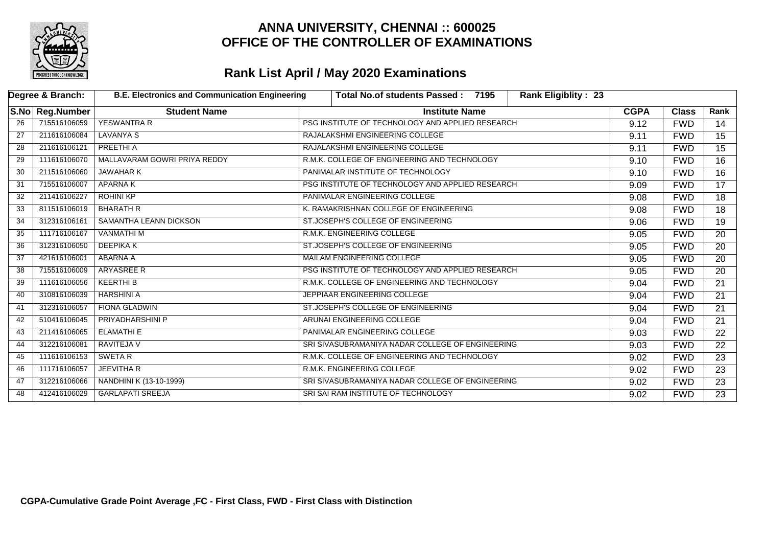

|    | Degree & Branch: | <b>B.E. Electronics and Communication Engineering</b><br><b>Rank Eligiblity: 23</b><br><b>Total No.of students Passed:</b><br>7195 |                                                  |             |              |                 |
|----|------------------|------------------------------------------------------------------------------------------------------------------------------------|--------------------------------------------------|-------------|--------------|-----------------|
|    | S.No Reg.Number  | <b>Student Name</b>                                                                                                                | <b>Institute Name</b>                            | <b>CGPA</b> | <b>Class</b> | Rank            |
| 26 | 715516106059     | <b>YESWANTRA R</b>                                                                                                                 | PSG INSTITUTE OF TECHNOLOGY AND APPLIED RESEARCH | 9.12        | <b>FWD</b>   | 14              |
| 27 | 211616106084     | LAVANYA S                                                                                                                          | RAJALAKSHMI ENGINEERING COLLEGE                  | 9.11        | <b>FWD</b>   | $\overline{15}$ |
| 28 | 211616106121     | PREETHI A                                                                                                                          | RAJALAKSHMI ENGINEERING COLLEGE                  |             | <b>FWD</b>   | $\overline{15}$ |
| 29 | 111616106070     | MALLAVARAM GOWRI PRIYA REDDY                                                                                                       | R.M.K. COLLEGE OF ENGINEERING AND TECHNOLOGY     | 9.10        | <b>FWD</b>   | 16              |
| 30 | 211516106060     | <b>JAWAHAR K</b>                                                                                                                   | PANIMALAR INSTITUTE OF TECHNOLOGY                | 9.10        | <b>FWD</b>   | 16              |
| 31 | 715516106007     | <b>APARNAK</b>                                                                                                                     | PSG INSTITUTE OF TECHNOLOGY AND APPLIED RESEARCH | 9.09        | <b>FWD</b>   | $\overline{17}$ |
| 32 | 211416106227     | <b>ROHINI KP</b>                                                                                                                   | PANIMALAR ENGINEERING COLLEGE                    | 9.08        | <b>FWD</b>   | 18              |
| 33 | 811516106019     | <b>BHARATH R</b>                                                                                                                   | K. RAMAKRISHNAN COLLEGE OF ENGINEERING           | 9.08        | <b>FWD</b>   | 18              |
| 34 | 312316106161     | SAMANTHA LEANN DICKSON                                                                                                             | ST.JOSEPH'S COLLEGE OF ENGINEERING               | 9.06        | <b>FWD</b>   | 19              |
| 35 | 111716106167     | <b>VANMATHI M</b>                                                                                                                  | R.M.K. ENGINEERING COLLEGE                       | 9.05        | <b>FWD</b>   | 20              |
| 36 | 312316106050     | DEEPIKA K                                                                                                                          | ST.JOSEPH'S COLLEGE OF ENGINEERING               | 9.05        | <b>FWD</b>   | 20              |
| 37 | 421616106001     | ABARNA A                                                                                                                           | <b>MAILAM ENGINEERING COLLEGE</b>                | 9.05        | <b>FWD</b>   | 20              |
| 38 | 715516106009     | ARYASREE R                                                                                                                         | PSG INSTITUTE OF TECHNOLOGY AND APPLIED RESEARCH | 9.05        | <b>FWD</b>   | 20              |
| 39 | 111616106056     | KEERTHI B                                                                                                                          | R.M.K. COLLEGE OF ENGINEERING AND TECHNOLOGY     | 9.04        | <b>FWD</b>   | 21              |
| 40 | 310816106039     | <b>HARSHINI A</b>                                                                                                                  | JEPPIAAR ENGINEERING COLLEGE                     | 9.04        | <b>FWD</b>   | 21              |
| 41 | 312316106057     | <b>FIONA GLADWIN</b>                                                                                                               | ST.JOSEPH'S COLLEGE OF ENGINEERING               | 9.04        | <b>FWD</b>   | 21              |
| 42 | 510416106045     | <b>PRIYADHARSHINI P</b>                                                                                                            | ARUNAI ENGINEERING COLLEGE                       | 9.04        | <b>FWD</b>   | $\overline{21}$ |
| 43 | 211416106065     | <b>ELAMATHI E</b>                                                                                                                  | PANIMALAR ENGINEERING COLLEGE                    | 9.03        | <b>FWD</b>   | $\overline{22}$ |
| 44 | 312216106081     | RAVITEJA V                                                                                                                         | SRI SIVASUBRAMANIYA NADAR COLLEGE OF ENGINEERING | 9.03        | <b>FWD</b>   | 22              |
| 45 | 111616106153     | SWETA R                                                                                                                            | R.M.K. COLLEGE OF ENGINEERING AND TECHNOLOGY     | 9.02        | <b>FWD</b>   | $\overline{23}$ |
| 46 | 111716106057     | <b>JEEVITHA R</b>                                                                                                                  | R.M.K. ENGINEERING COLLEGE                       | 9.02        | <b>FWD</b>   | $\overline{23}$ |
| 47 | 312216106066     | NANDHINI K (13-10-1999)                                                                                                            | SRI SIVASUBRAMANIYA NADAR COLLEGE OF ENGINEERING | 9.02        | <b>FWD</b>   | $\overline{23}$ |
| 48 | 412416106029     | <b>GARLAPATI SREEJA</b>                                                                                                            | SRI SAI RAM INSTITUTE OF TECHNOLOGY              | 9.02        | <b>FWD</b>   | $\overline{23}$ |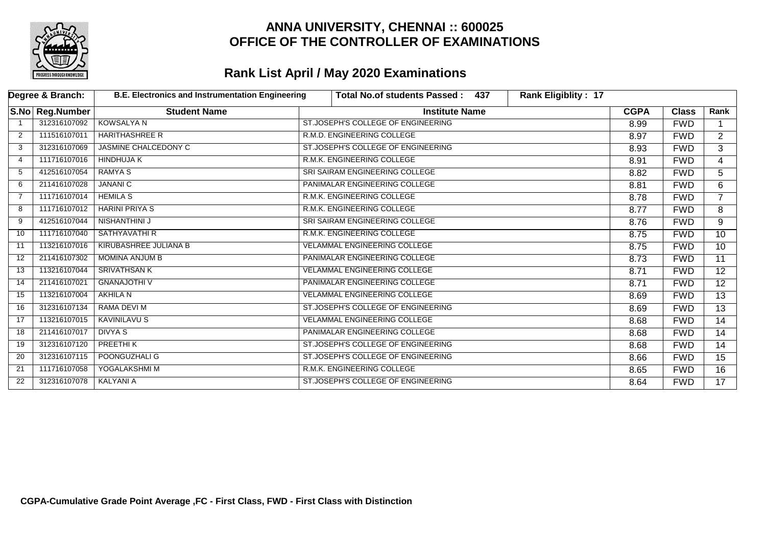

|    | Degree & Branch: | <b>B.E. Electronics and Instrumentation Engineering</b> | <b>Total No.of students Passed:</b><br>437 | <b>Rank Eligiblity: 17</b> |             |              |                 |
|----|------------------|---------------------------------------------------------|--------------------------------------------|----------------------------|-------------|--------------|-----------------|
|    | S.No Reg.Number  | <b>Student Name</b>                                     | <b>Institute Name</b>                      |                            | <b>CGPA</b> | <b>Class</b> | Rank            |
|    | 312316107092     | <b>KOWSALYA N</b>                                       | ST.JOSEPH'S COLLEGE OF ENGINEERING         |                            | 8.99        | <b>FWD</b>   |                 |
| 2  | 111516107011     | <b>HARITHASHREE R</b>                                   | R.M.D. ENGINEERING COLLEGE                 |                            | 8.97        | <b>FWD</b>   | $\mathbf{2}$    |
| 3  | 312316107069     | <b>JASMINE CHALCEDONY C</b>                             | ST.JOSEPH'S COLLEGE OF ENGINEERING         |                            | 8.93        | <b>FWD</b>   | 3               |
| 4  | 111716107016     | <b>HINDHUJA K</b>                                       | R.M.K. ENGINEERING COLLEGE                 |                            | 8.91        | <b>FWD</b>   | 4               |
| 5  | 412516107054     | <b>RAMYAS</b>                                           | SRI SAIRAM ENGINEERING COLLEGE             |                            | 8.82        | <b>FWD</b>   | 5               |
| 6  | 211416107028     | <b>JANANI C</b>                                         | PANIMALAR ENGINEERING COLLEGE              |                            | 8.81        | <b>FWD</b>   | 6               |
| 7  | 111716107014     | <b>HEMILA S</b>                                         | R.M.K. ENGINEERING COLLEGE                 |                            | 8.78        | <b>FWD</b>   | $\overline{7}$  |
| 8  | 111716107012     | <b>HARINI PRIYA S</b>                                   | R.M.K. ENGINEERING COLLEGE                 |                            | 8.77        | <b>FWD</b>   | 8               |
| 9  | 412516107044     | <b>NISHANTHINI J</b>                                    | SRI SAIRAM ENGINEERING COLLEGE             |                            | 8.76        | <b>FWD</b>   | 9               |
| 10 | 111716107040     | <b>SATHYAVATHIR</b>                                     | R.M.K. ENGINEERING COLLEGE                 |                            | 8.75        | <b>FWD</b>   | 10 <sup>°</sup> |
| 11 | 113216107016     | <b>KIRUBASHREE JULIANA B</b>                            | <b>VELAMMAL ENGINEERING COLLEGE</b>        |                            | 8.75        | <b>FWD</b>   | 10              |
| 12 | 211416107302     | <b>MOMINA ANJUM B</b>                                   | PANIMALAR ENGINEERING COLLEGE              |                            | 8.73        | <b>FWD</b>   | $\overline{11}$ |
| 13 | 113216107044     | <b>SRIVATHSAN K</b>                                     | <b>VELAMMAL ENGINEERING COLLEGE</b>        |                            | 8.71        | <b>FWD</b>   | 12              |
| 14 | 211416107021     | <b>GNANAJOTHI V</b>                                     | PANIMALAR ENGINEERING COLLEGE              |                            | 8.71        | <b>FWD</b>   | $\overline{12}$ |
| 15 | 113216107004     | <b>AKHILA N</b>                                         | <b>VELAMMAL ENGINEERING COLLEGE</b>        |                            | 8.69        | <b>FWD</b>   | 13              |
| 16 | 312316107134     | RAMA DEVI M                                             | ST.JOSEPH'S COLLEGE OF ENGINEERING         |                            | 8.69        | <b>FWD</b>   | $\overline{13}$ |
| 17 | 113216107015     | <b>KAVINILAVU S</b>                                     | <b>VELAMMAL ENGINEERING COLLEGE</b>        |                            | 8.68        | <b>FWD</b>   | 14              |
| 18 | 211416107017     | DIVYA S                                                 | PANIMALAR ENGINEERING COLLEGE              |                            | 8.68        | <b>FWD</b>   | 14              |
| 19 | 312316107120     | PREETHI K                                               | ST.JOSEPH'S COLLEGE OF ENGINEERING         |                            | 8.68        | <b>FWD</b>   | 14              |
| 20 | 312316107115     | POONGUZHALI G                                           | ST.JOSEPH'S COLLEGE OF ENGINEERING         |                            | 8.66        | <b>FWD</b>   | 15              |
| 21 | 111716107058     | YOGALAKSHMI M                                           | R.M.K. ENGINEERING COLLEGE                 |                            | 8.65        | <b>FWD</b>   | 16              |
| 22 | 312316107078     | <b>KALYANI A</b>                                        | ST.JOSEPH'S COLLEGE OF ENGINEERING         |                            | 8.64        | <b>FWD</b>   | 17              |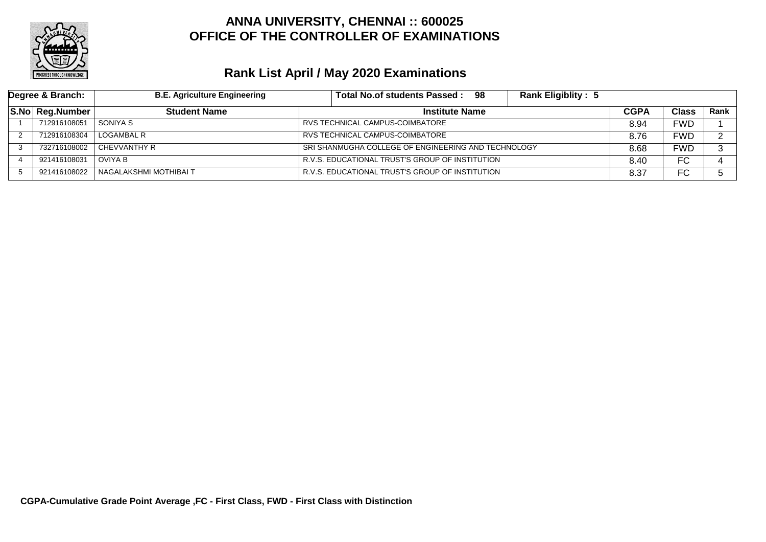

| Degree & Branch: | <b>B.E. Agriculture Engineering</b> | Total No.of students Passed: 98<br><b>Rank Eligiblity: 5</b> |      |            |      |
|------------------|-------------------------------------|--------------------------------------------------------------|------|------------|------|
| S.No Reg.Number  | <b>Student Name</b>                 | <b>Institute Name</b>                                        |      | Class      | Rank |
| 712916108051     | SONIYA S                            | RVS TECHNICAL CAMPUS-COIMBATORE                              | 8.94 | FWD        |      |
| 712916108304     | LOGAMBAL R                          | RVS TECHNICAL CAMPUS-COIMBATORE                              | 8.76 | FWD        |      |
| 732716108002     | l CHEVVANTHY R                      | SRI SHANMUGHA COLLEGE OF ENGINEERING AND TECHNOLOGY          | 8.68 | <b>FWD</b> | ົ    |
| 921416108031     | OVIYA B                             | R.V.S. EDUCATIONAL TRUST'S GROUP OF INSTITUTION              | 8.40 | FC         |      |
| 921416108022     | NAGALAKSHMI MOTHIBAI T              | R.V.S. EDUCATIONAL TRUST'S GROUP OF INSTITUTION              |      | FC         |      |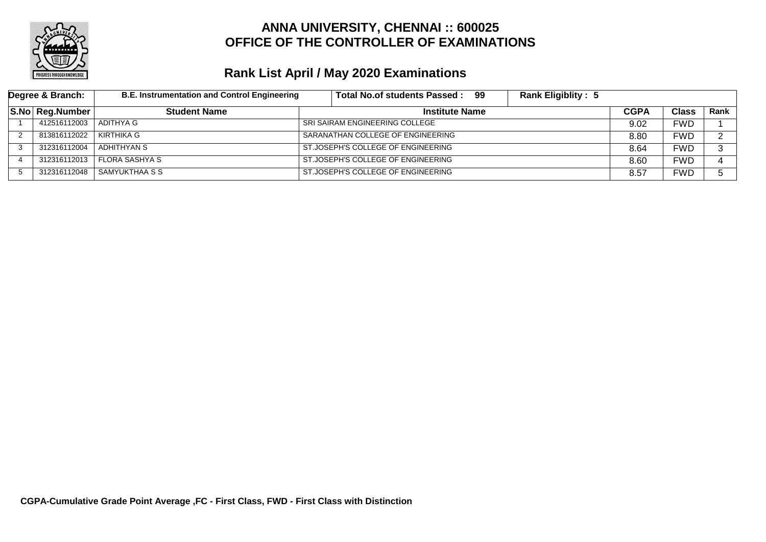

| Degree & Branch: | <b>B.E. Instrumentation and Control Engineering</b> | Total No.of students Passed: 99    | <b>Rank Eligiblity: 5</b> |      |              |             |
|------------------|-----------------------------------------------------|------------------------------------|---------------------------|------|--------------|-------------|
| S.No Reg.Number  | <b>Student Name</b>                                 | <b>Institute Name</b>              |                           |      | <b>Class</b> | <b>Rank</b> |
| 412516112003     | ADITHYA G                                           | SRI SAIRAM ENGINEERING COLLEGE     |                           | 9.02 | FWD          |             |
| 813816112022     | KIRTHIKA G                                          | SARANATHAN COLLEGE OF ENGINEERING  |                           | 8.80 | FWD          | ົ           |
| 312316112004     | ADHITHYAN S                                         | ST.JOSEPH'S COLLEGE OF ENGINEERING |                           | 8.64 | FWD          | ົ           |
| 312316112013     | FLORA SASHYA S                                      | ST.JOSEPH'S COLLEGE OF ENGINEERING |                           | 8.60 | <b>FWD</b>   |             |
| 312316112048     | I SAMYUKTHAA S S                                    | ST.JOSEPH'S COLLEGE OF ENGINEERING |                           | 8.57 | FWD          |             |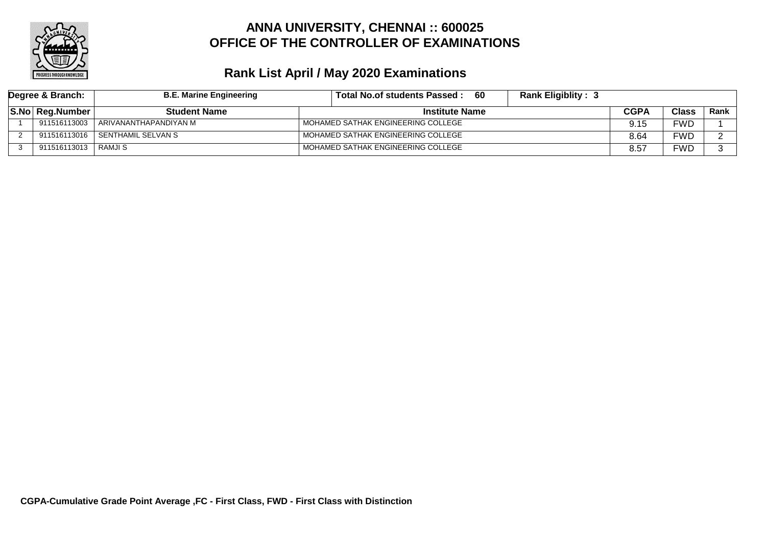

| Degree & Branch:    | <b>B.E. Marine Engineering</b>  | <b>Rank Eligiblity: 3</b><br>-60<br>Total No.of students Passed: |      |       |      |
|---------------------|---------------------------------|------------------------------------------------------------------|------|-------|------|
| S.No Reg.Number     | <b>Student Name</b>             | <b>Institute Name</b>                                            | CGPA | Class | Rank |
| 911516113003        | ARIVANANTHAPANDIYAN M           | MOHAMED SATHAK ENGINEERING COLLEGE                               | 9.15 | FWD   |      |
|                     | 911516113016 SENTHAMIL SELVAN S | MOHAMED SATHAK ENGINEERING COLLEGE                               | 8.64 | FWD   |      |
| 911516113013 RAMJIS |                                 | MOHAMED SATHAK ENGINEERING COLLEGE                               | 8.57 | FWD   |      |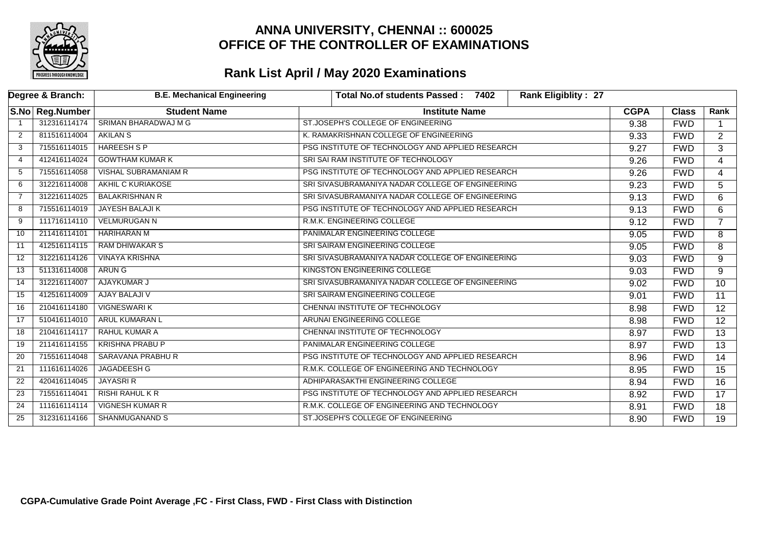

|                | Degree & Branch: | <b>B.E. Mechanical Engineering</b> | <b>Rank Eligiblity: 27</b><br><b>Total No.of students Passed:</b><br>7402 |             |              |                 |
|----------------|------------------|------------------------------------|---------------------------------------------------------------------------|-------------|--------------|-----------------|
|                | S.No Reg.Number  | <b>Student Name</b>                | <b>Institute Name</b>                                                     | <b>CGPA</b> | <b>Class</b> | Rank            |
|                | 312316114174     | <b>SRIMAN BHARADWAJ M G</b>        | ST.JOSEPH'S COLLEGE OF ENGINEERING                                        | 9.38        | <b>FWD</b>   | $\mathbf 1$     |
| $\overline{2}$ | 811516114004     | <b>AKILAN S</b>                    | K. RAMAKRISHNAN COLLEGE OF ENGINEERING                                    | 9.33        | <b>FWD</b>   | $\overline{2}$  |
| 3              | 715516114015     | <b>HAREESH S P</b>                 | PSG INSTITUTE OF TECHNOLOGY AND APPLIED RESEARCH                          | 9.27        | <b>FWD</b>   | $\overline{3}$  |
| 4              | 412416114024     | <b>GOWTHAM KUMAR K</b>             | SRI SAI RAM INSTITUTE OF TECHNOLOGY                                       | 9.26        | <b>FWD</b>   | $\overline{4}$  |
| 5              | 715516114058     | <b>VISHAL SUBRAMANIAM R</b>        | PSG INSTITUTE OF TECHNOLOGY AND APPLIED RESEARCH                          | 9.26        | <b>FWD</b>   | $\overline{4}$  |
| 6              | 312216114008     | <b>AKHIL C KURIAKOSE</b>           | SRI SIVASUBRAMANIYA NADAR COLLEGE OF ENGINEERING                          | 9.23        | <b>FWD</b>   | 5               |
| $\overline{7}$ | 312216114025     | <b>BALAKRISHNAN R</b>              | SRI SIVASUBRAMANIYA NADAR COLLEGE OF ENGINEERING                          | 9.13        | <b>FWD</b>   | 6               |
| 8              | 715516114019     | <b>JAYESH BALAJI K</b>             | PSG INSTITUTE OF TECHNOLOGY AND APPLIED RESEARCH                          | 9.13        | <b>FWD</b>   | 6               |
| 9              | 111716114110     | <b>VELMURUGAN N</b>                | R.M.K. ENGINEERING COLLEGE                                                | 9.12        | <b>FWD</b>   | $\overline{7}$  |
| 10             | 211416114101     | HARIHARAN M                        | PANIMALAR ENGINEERING COLLEGE                                             | 9.05        | <b>FWD</b>   | 8               |
| 11             | 412516114115     | <b>RAM DHIWAKAR S</b>              | <b>SRI SAIRAM ENGINEERING COLLEGE</b>                                     | 9.05        | <b>FWD</b>   | 8               |
| 12             | 312216114126     | <b>VINAYA KRISHNA</b>              | SRI SIVASUBRAMANIYA NADAR COLLEGE OF ENGINEERING                          | 9.03        | <b>FWD</b>   | 9               |
| 13             | 511316114008     | ARUN G                             | <b>KINGSTON ENGINEERING COLLEGE</b>                                       | 9.03        | <b>FWD</b>   | 9               |
| 14             | 312216114007     | AJAYKUMAR J                        | SRI SIVASUBRAMANIYA NADAR COLLEGE OF ENGINEERING                          | 9.02        | <b>FWD</b>   | $\overline{10}$ |
| 15             | 412516114009     | AJAY BALAJI V                      | SRI SAIRAM ENGINEERING COLLEGE                                            | 9.01        | <b>FWD</b>   | 11              |
| 16             | 210416114180     | <b>VIGNESWARIK</b>                 | CHENNAI INSTITUTE OF TECHNOLOGY                                           | 8.98        | <b>FWD</b>   | 12              |
| 17             | 510416114010     | <b>ARUL KUMARAN L</b>              | ARUNAI ENGINEERING COLLEGE                                                | 8.98        | <b>FWD</b>   | $\overline{12}$ |
| 18             | 210416114117     | <b>RAHUL KUMAR A</b>               | CHENNAI INSTITUTE OF TECHNOLOGY                                           | 8.97        | <b>FWD</b>   | $\overline{13}$ |
| 19             | 211416114155     | <b>KRISHNA PRABU P</b>             | PANIMALAR ENGINEERING COLLEGE                                             | 8.97        | <b>FWD</b>   | $\overline{13}$ |
| 20             | 715516114048     | <b>SARAVANA PRABHU R</b>           | PSG INSTITUTE OF TECHNOLOGY AND APPLIED RESEARCH                          | 8.96        | <b>FWD</b>   | 14              |
| 21             | 111616114026     | JAGADEESH G                        | R.M.K. COLLEGE OF ENGINEERING AND TECHNOLOGY                              | 8.95        | <b>FWD</b>   | $\overline{15}$ |
| 22             | 420416114045     | <b>JAYASRI R</b>                   | ADHIPARASAKTHI ENGINEERING COLLEGE                                        | 8.94        | <b>FWD</b>   | $\overline{16}$ |
| 23             | 715516114041     | <b>RISHI RAHUL K R</b>             | PSG INSTITUTE OF TECHNOLOGY AND APPLIED RESEARCH                          | 8.92        | <b>FWD</b>   | $\overline{17}$ |
| 24             | 111616114114     | <b>VIGNESH KUMAR R</b>             | R.M.K. COLLEGE OF ENGINEERING AND TECHNOLOGY                              | 8.91        | <b>FWD</b>   | $\overline{18}$ |
| 25             | 312316114166     | <b>SHANMUGANAND S</b>              | ST.JOSEPH'S COLLEGE OF ENGINEERING                                        | 8.90        | <b>FWD</b>   | $\overline{19}$ |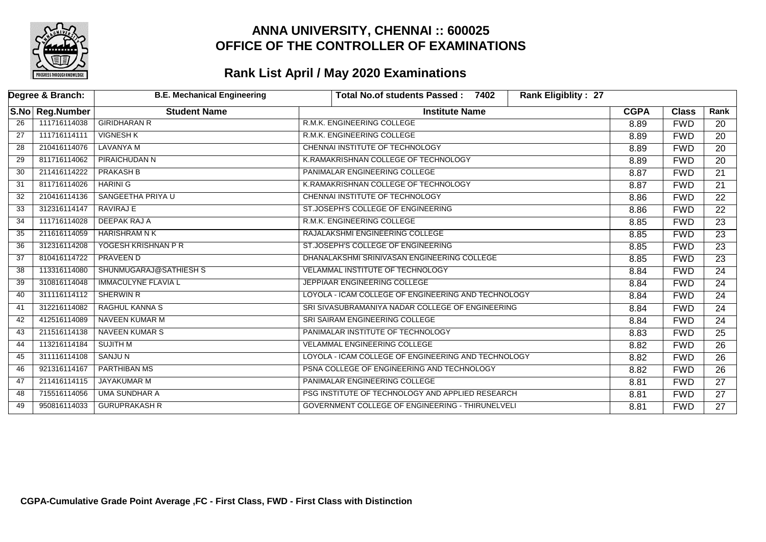

|    | Degree & Branch: | <b>B.E. Mechanical Engineering</b> | <b>Rank Eligiblity: 27</b><br><b>Total No.of students Passed:</b><br>7402 |             |              |                 |
|----|------------------|------------------------------------|---------------------------------------------------------------------------|-------------|--------------|-----------------|
|    | S.No Reg.Number  | <b>Student Name</b>                | <b>Institute Name</b>                                                     | <b>CGPA</b> | <b>Class</b> | Rank            |
| 26 | 111716114038     | <b>GIRIDHARAN R</b>                | R.M.K. ENGINEERING COLLEGE                                                | 8.89        | <b>FWD</b>   | 20              |
| 27 | 111716114111     | <b>VIGNESH K</b>                   | R.M.K. ENGINEERING COLLEGE                                                | 8.89        | <b>FWD</b>   | 20              |
| 28 | 210416114076     | LAVANYA M                          | CHENNAI INSTITUTE OF TECHNOLOGY                                           | 8.89        | <b>FWD</b>   | $\overline{20}$ |
| 29 | 811716114062     | <b>PIRAICHUDAN N</b>               | K.RAMAKRISHNAN COLLEGE OF TECHNOLOGY                                      | 8.89        | <b>FWD</b>   | 20              |
| 30 | 211416114222     | <b>PRAKASH B</b>                   | PANIMALAR ENGINEERING COLLEGE                                             | 8.87        | <b>FWD</b>   | $\overline{21}$ |
| 31 | 811716114026     | <b>HARINI G</b>                    | K.RAMAKRISHNAN COLLEGE OF TECHNOLOGY                                      | 8.87        | <b>FWD</b>   | $\overline{21}$ |
| 32 | 210416114136     | SANGEETHA PRIYA U                  | CHENNAI INSTITUTE OF TECHNOLOGY                                           | 8.86        | <b>FWD</b>   | $\overline{22}$ |
| 33 | 312316114147     | <b>RAVIRAJ E</b>                   | ST.JOSEPH'S COLLEGE OF ENGINEERING                                        | 8.86        | <b>FWD</b>   | $\overline{22}$ |
| 34 | 111716114028     | DEEPAK RAJ A                       | R.M.K. ENGINEERING COLLEGE                                                | 8.85        | <b>FWD</b>   | 23              |
| 35 | 211616114059     | HARISHRAM N K                      | RAJALAKSHMI ENGINEERING COLLEGE                                           | 8.85        | <b>FWD</b>   | $\overline{23}$ |
| 36 | 312316114208     | YOGESH KRISHNAN P R                | ST.JOSEPH'S COLLEGE OF ENGINEERING                                        | 8.85        | <b>FWD</b>   | $\overline{23}$ |
| 37 | 810416114722     | PRAVEEN D                          | DHANALAKSHMI SRINIVASAN ENGINEERING COLLEGE                               | 8.85        | <b>FWD</b>   | $\overline{23}$ |
| 38 | 113316114080     | SHUNMUGARAJ@SATHIESH S             | VELAMMAL INSTITUTE OF TECHNOLOGY                                          | 8.84        | <b>FWD</b>   | $\overline{24}$ |
| 39 | 310816114048     | <b>IMMACULYNE FLAVIA L</b>         | JEPPIAAR ENGINEERING COLLEGE                                              | 8.84        | <b>FWD</b>   | $\overline{24}$ |
| 40 | 311116114112     | SHERWIN R                          | LOYOLA - ICAM COLLEGE OF ENGINEERING AND TECHNOLOGY                       | 8.84        | <b>FWD</b>   | 24              |
| 41 | 312216114082     | RAGHUL KANNA S                     | SRI SIVASUBRAMANIYA NADAR COLLEGE OF ENGINEERING                          | 8.84        | <b>FWD</b>   | 24              |
| 42 | 412516114089     | NAVEEN KUMAR M                     | SRI SAIRAM ENGINEERING COLLEGE                                            | 8.84        | <b>FWD</b>   | $\overline{24}$ |
| 43 | 211516114138     | <b>NAVEEN KUMAR S</b>              | PANIMALAR INSTITUTE OF TECHNOLOGY                                         | 8.83        | <b>FWD</b>   | $\overline{25}$ |
| 44 | 113216114184     | SUJITH M                           | <b>VELAMMAL ENGINEERING COLLEGE</b>                                       | 8.82        | <b>FWD</b>   | $\overline{26}$ |
| 45 | 311116114108     | SANJU N                            | LOYOLA - ICAM COLLEGE OF ENGINEERING AND TECHNOLOGY                       | 8.82        | <b>FWD</b>   | $\overline{26}$ |
| 46 | 921316114167     | <b>PARTHIBAN MS</b>                | PSNA COLLEGE OF ENGINEERING AND TECHNOLOGY                                | 8.82        | <b>FWD</b>   | $\overline{26}$ |
| 47 | 211416114115     | JAYAKUMAR M                        | PANIMALAR ENGINEERING COLLEGE                                             | 8.81        | <b>FWD</b>   | 27              |
| 48 | 715516114056     | <b>UMA SUNDHAR A</b>               | PSG INSTITUTE OF TECHNOLOGY AND APPLIED RESEARCH                          | 8.81        | <b>FWD</b>   | $\overline{27}$ |
| 49 | 950816114033     | <b>GURUPRAKASH R</b>               | GOVERNMENT COLLEGE OF ENGINEERING - THIRUNELVELI                          | 8.81        | <b>FWD</b>   | $\overline{27}$ |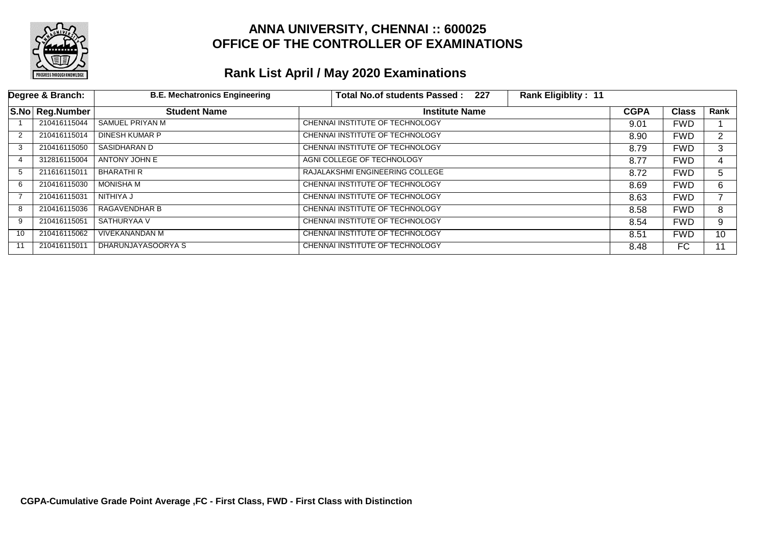

|    | Degree & Branch: | <b>B.E. Mechatronics Engineering</b> | Total No.of students Passed: 227 | <b>Rank Eligiblity: 11</b> |             |              |                |
|----|------------------|--------------------------------------|----------------------------------|----------------------------|-------------|--------------|----------------|
|    | S.No Reg.Number  | <b>Student Name</b>                  | <b>Institute Name</b>            |                            | <b>CGPA</b> | <b>Class</b> | Rank           |
|    | 210416115044     | SAMUEL PRIYAN M                      | CHENNAI INSTITUTE OF TECHNOLOGY  |                            | 9.01        | <b>FWD</b>   |                |
| 2  | 210416115014     | DINESH KUMAR P                       | CHENNAI INSTITUTE OF TECHNOLOGY  |                            | 8.90        | <b>FWD</b>   | $\overline{2}$ |
| 3  | 210416115050     | SASIDHARAN D                         | CHENNAI INSTITUTE OF TECHNOLOGY  |                            | 8.79        | <b>FWD</b>   | 3              |
| 4  | 312816115004     | ANTONY JOHN E                        | AGNI COLLEGE OF TECHNOLOGY       |                            | 8.77        | <b>FWD</b>   | 4              |
| -5 | 211616115011     | BHARATHI R                           | RAJALAKSHMI ENGINEERING COLLEGE  |                            | 8.72        | <b>FWD</b>   | 5              |
| 6  | 210416115030     | <b>MONISHA M</b>                     | CHENNAI INSTITUTE OF TECHNOLOGY  |                            | 8.69        | <b>FWD</b>   | 6.             |
|    | 210416115031     | NITHIYA J                            | CHENNAI INSTITUTE OF TECHNOLOGY  |                            | 8.63        | <b>FWD</b>   |                |
| -8 | 210416115036     | <b>RAGAVENDHAR B</b>                 | CHENNAI INSTITUTE OF TECHNOLOGY  |                            | 8.58        | <b>FWD</b>   | 8              |
| 9  | 210416115051     | SATHURYAA V                          | CHENNAI INSTITUTE OF TECHNOLOGY  |                            | 8.54        | <b>FWD</b>   | 9              |
| 10 | 210416115062     | <b>VIVEKANANDAN M</b>                | CHENNAI INSTITUTE OF TECHNOLOGY  |                            | 8.51        | <b>FWD</b>   | 10             |
| 11 | 210416115011     | DHARUNJAYASOORYA S                   | CHENNAI INSTITUTE OF TECHNOLOGY  |                            | 8.48        | FC           | 11             |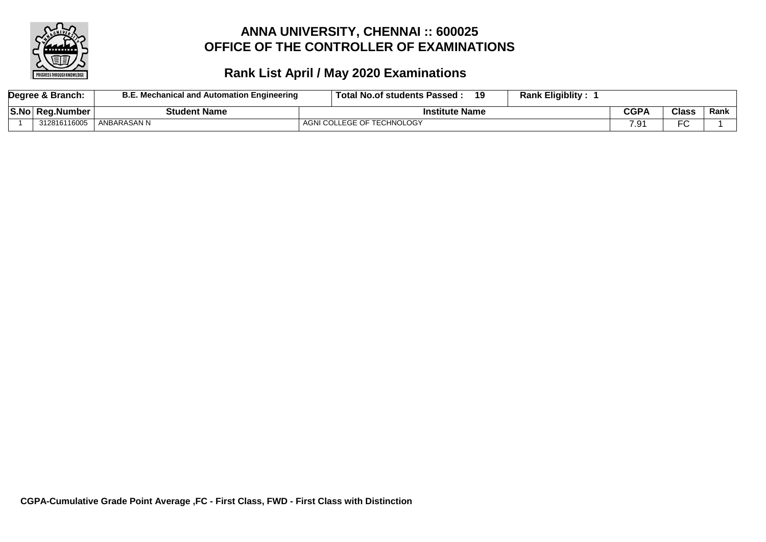

| Degree & Branch: | <b>B.E. Mechanical and Automation Engineering</b> | Total No.of students Passed:<br>19 | <b>Rank Eligiblity:</b> |             |                |      |
|------------------|---------------------------------------------------|------------------------------------|-------------------------|-------------|----------------|------|
| S.No Reg.Number  | <b>Student Name</b>                               | <b>Institute Name</b>              |                         | <b>CGPA</b> | Class          | Rank |
| 312816116005     | ANBARASAN N                                       | AGNI COLLEGE OF TECHNOLOGY         |                         | 7 Ω۰<br>    | $\Gamma$<br>-ٮ |      |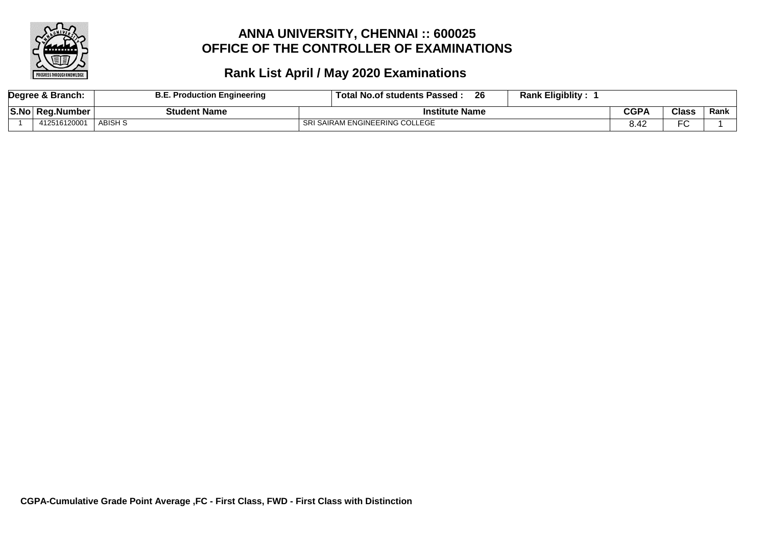

|       | Degree & Branch: | . Production Engineering | <b>Rank Eligiblity:</b><br>26<br>⊪Total '<br>ll No.of students Passed |             |               |      |
|-------|------------------|--------------------------|-----------------------------------------------------------------------|-------------|---------------|------|
| S.No. | Rea.Number       | <b>Student Name</b>      | <b>Institute Name</b>                                                 | <b>CGPA</b> | <b>Class</b>  | Rank |
|       | 412516120001     | ABISH S                  | SRI SAIRAM ENGINEERING COLLEGE                                        |             | $\Gamma$<br>◡ |      |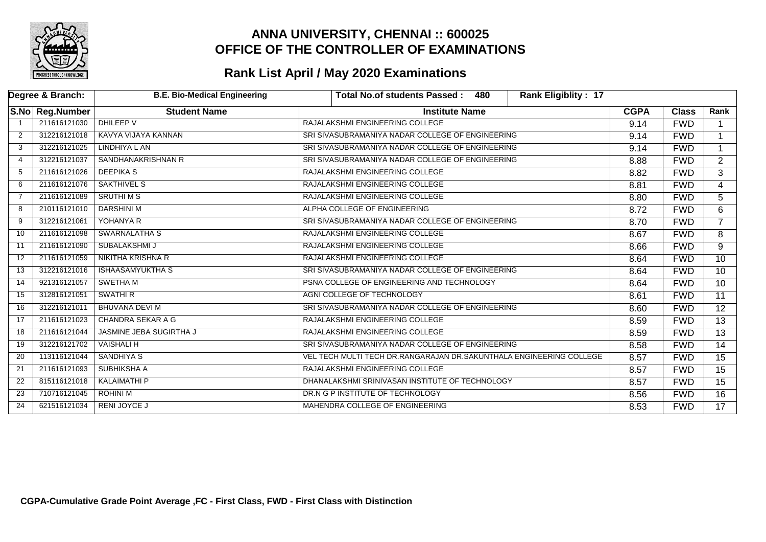

|    | Degree & Branch: | <b>B.E. Bio-Medical Engineering</b> | 480<br><b>Rank Eligiblity: 17</b><br>Total No.of students Passed:   |             |              |                 |
|----|------------------|-------------------------------------|---------------------------------------------------------------------|-------------|--------------|-----------------|
|    | S.No Reg.Number  | <b>Student Name</b>                 | <b>Institute Name</b>                                               | <b>CGPA</b> | <b>Class</b> | Rank            |
|    | 211616121030     | DHILEEP V                           | RAJALAKSHMI ENGINEERING COLLEGE                                     | 9.14        | <b>FWD</b>   |                 |
| 2  | 312216121018     | KAVYA VIJAYA KANNAN                 | SRI SIVASUBRAMANIYA NADAR COLLEGE OF ENGINEERING                    | 9.14        | <b>FWD</b>   |                 |
| 3  | 312216121025     | LINDHIYA L AN                       | SRI SIVASUBRAMANIYA NADAR COLLEGE OF ENGINEERING                    | 9.14        | <b>FWD</b>   |                 |
| 4  | 312216121037     | SANDHANAKRISHNAN R                  | SRI SIVASUBRAMANIYA NADAR COLLEGE OF ENGINEERING                    | 8.88        | <b>FWD</b>   | $\overline{2}$  |
| 5  | 211616121026     | <b>DEEPIKAS</b>                     | RAJALAKSHMI ENGINEERING COLLEGE                                     | 8.82        | <b>FWD</b>   | 3               |
| 6  | 211616121076     | SAKTHIVEL S                         | RAJALAKSHMI ENGINEERING COLLEGE                                     | 8.81        | <b>FWD</b>   | 4               |
| 7  | 211616121089     | <b>SRUTHIMS</b>                     | RAJALAKSHMI ENGINEERING COLLEGE                                     | 8.80        | <b>FWD</b>   | 5               |
| 8  | 210116121010     | <b>DARSHINI M</b>                   | ALPHA COLLEGE OF ENGINEERING                                        | 8.72        | <b>FWD</b>   | 6               |
| 9  | 312216121061     | YOHANYA R                           | SRI SIVASUBRAMANIYA NADAR COLLEGE OF ENGINEERING                    | 8.70        | <b>FWD</b>   |                 |
| 10 | 211616121098     | <b>SWARNALATHA S</b>                | RAJALAKSHMI ENGINEERING COLLEGE                                     | 8.67        | <b>FWD</b>   | 8               |
| 11 | 211616121090     | SUBALAKSHMI J                       | RAJALAKSHMI ENGINEERING COLLEGE                                     | 8.66        | <b>FWD</b>   | 9               |
| 12 | 211616121059     | <b>NIKITHA KRISHNA R</b>            | RAJALAKSHMI ENGINEERING COLLEGE                                     | 8.64        | <b>FWD</b>   | 10              |
| 13 | 312216121016     | <b>ISHAASAMYUKTHA S</b>             | SRI SIVASUBRAMANIYA NADAR COLLEGE OF ENGINEERING                    | 8.64        | <b>FWD</b>   | 10              |
| 14 | 921316121057     | <b>SWETHAM</b>                      | PSNA COLLEGE OF ENGINEERING AND TECHNOLOGY                          | 8.64        | <b>FWD</b>   | $\overline{10}$ |
| 15 | 312816121051     | <b>SWATHIR</b>                      | AGNI COLLEGE OF TECHNOLOGY                                          | 8.61        | <b>FWD</b>   | 11              |
| 16 | 312216121011     | <b>BHUVANA DEVI M</b>               | SRI SIVASUBRAMANIYA NADAR COLLEGE OF ENGINEERING                    | 8.60        | <b>FWD</b>   | 12              |
| 17 | 211616121023     | <b>CHANDRA SEKAR A G</b>            | RAJALAKSHMI ENGINEERING COLLEGE                                     | 8.59        | <b>FWD</b>   | 13              |
| 18 | 211616121044     | <b>JASMINE JEBA SUGIRTHA J</b>      | RAJALAKSHMI ENGINEERING COLLEGE                                     | 8.59        | <b>FWD</b>   | $\overline{13}$ |
| 19 | 312216121702     | <b>VAISHALI H</b>                   | SRI SIVASUBRAMANIYA NADAR COLLEGE OF ENGINEERING                    | 8.58        | <b>FWD</b>   | 14              |
| 20 | 113116121044     | <b>SANDHIYA S</b>                   | VEL TECH MULTI TECH DR.RANGARAJAN DR.SAKUNTHALA ENGINEERING COLLEGE | 8.57        | <b>FWD</b>   | 15              |
| 21 | 211616121093     | <b>SUBHIKSHA A</b>                  | RAJALAKSHMI ENGINEERING COLLEGE                                     | 8.57        | <b>FWD</b>   | $\overline{15}$ |
| 22 | 815116121018     | <b>KALAIMATHI P</b>                 | DHANALAKSHMI SRINIVASAN INSTITUTE OF TECHNOLOGY                     | 8.57        | <b>FWD</b>   | 15              |
| 23 | 710716121045     | <b>ROHINI M</b>                     | DR.N G P INSTITUTE OF TECHNOLOGY                                    | 8.56        | <b>FWD</b>   | $\overline{16}$ |
| 24 | 621516121034     | <b>RENI JOYCE J</b>                 | MAHENDRA COLLEGE OF ENGINEERING                                     | 8.53        | <b>FWD</b>   | 17              |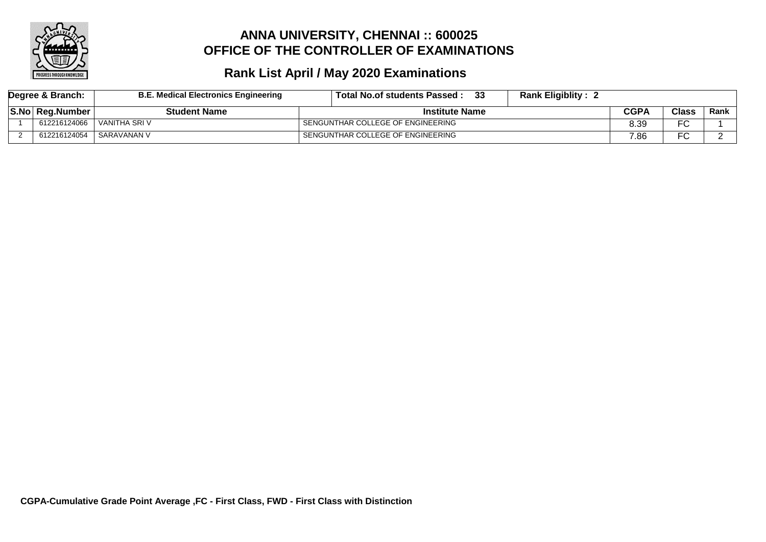

| Degree & Branch: |                        | <b>B.E. Medical Electronics Engineering</b> | -33<br><b>Rank Eligiblity:</b><br>Total No.of students Passed: |      |              |        |
|------------------|------------------------|---------------------------------------------|----------------------------------------------------------------|------|--------------|--------|
|                  | <b>S.No Reg.Number</b> | <b>Student Name</b>                         | <b>Institute Name</b>                                          |      | <b>Class</b> | Rank l |
|                  | 612216124066           | ' VANITHA SRI V                             | SENGUNTHAR COLLEGE OF ENGINEERING                              | 8.39 | ∼            |        |
|                  | 612216124054           | SARAVANAN V                                 | SENGUNTHAR COLLEGE OF ENGINEERING                              | 7.86 | ∼            |        |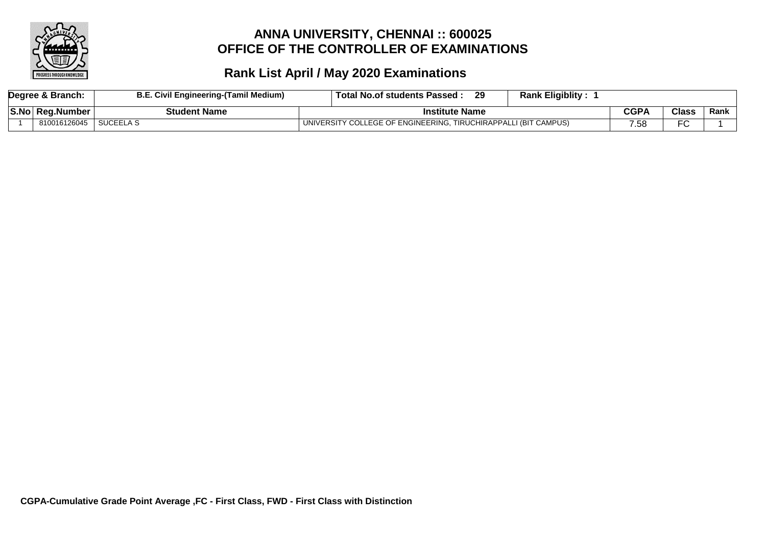

| Degree & Branch: | <b>B.E. Civil Engineering-(Tamil Medium)</b> | <b>Rank Eligiblity:</b><br>29<br>Total No.of students Passed :  |      |              |      |
|------------------|----------------------------------------------|-----------------------------------------------------------------|------|--------------|------|
| S.No Reg.Number  | Student Name                                 | <b>Institute Name</b>                                           | CGPA | <b>Class</b> | Rank |
| 810016126045     | SUCEELA S                                    | UNIVERSITY COLLEGE OF ENGINEERING, TIRUCHIRAPPALLI (BIT CAMPUS) | 7.58 | ⊷            |      |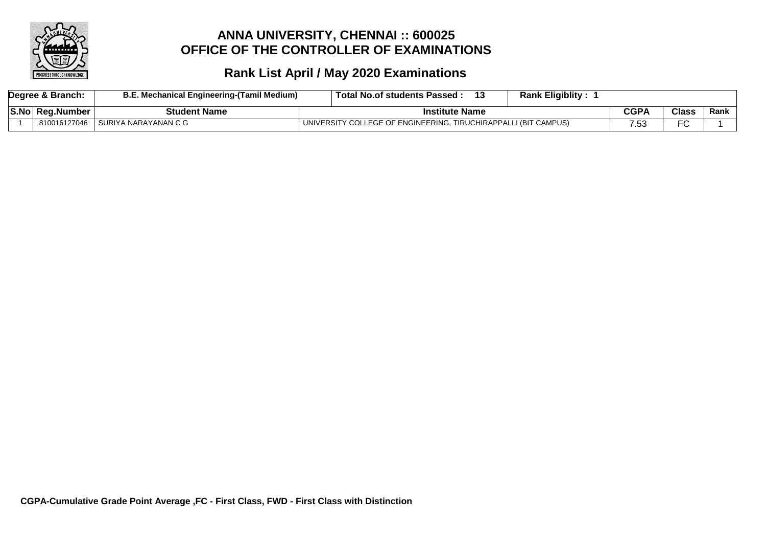

| Degree & Branch: | B.E. Mechanical Engineering-(Tamil Medium) | ⊦ Total No.of students Passed :                                 | <b>Rank Eligiblity:</b> |             |       |      |
|------------------|--------------------------------------------|-----------------------------------------------------------------|-------------------------|-------------|-------|------|
| S.No Reg.Number  | <b>Student Name</b>                        | <b>Institute Name</b>                                           |                         | <b>CGPA</b> | Class | Rank |
| 810016127046     | I SURIYA NARAYANAN C G                     | UNIVERSITY COLLEGE OF ENGINEERING, TIRUCHIRAPPALLI (BIT CAMPUS) |                         |             | FC    |      |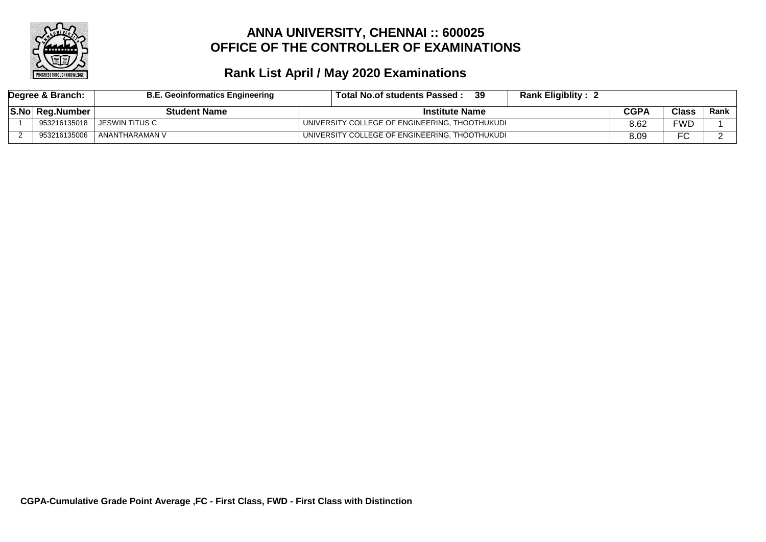

| Degree & Branch: |                 | <b>B.E. Geoinformatics Engineering</b> | 39<br><b>Rank Eligiblity:</b><br>Total No.of students Passed: |      |              |      |
|------------------|-----------------|----------------------------------------|---------------------------------------------------------------|------|--------------|------|
|                  | S.No Reg.Number | <b>Student Name</b>                    | <b>Institute Name</b>                                         |      | <b>Class</b> | Rank |
|                  | 953216135018    | JESWIN TITUS C                         | UNIVERSITY COLLEGE OF ENGINEERING, THOOTHUKUDI                | 8.62 | FWD.         |      |
|                  | 953216135006    | ANANTHARAMAN V                         | UNIVERSITY COLLEGE OF ENGINEERING, THOOTHUKUDI                | 8.09 | ∼<br>−∪.     |      |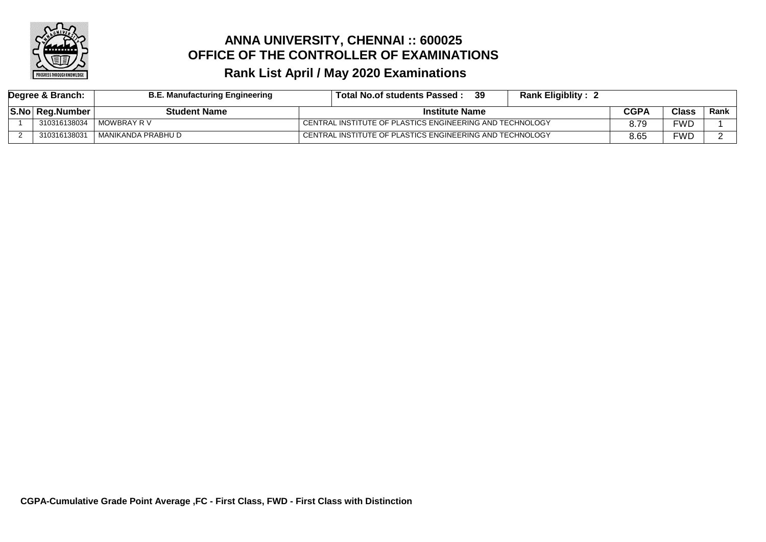

| Degree & Branch: | <b>B.E. Manufacturing Engineering</b> | -39<br>Total No.of students Passed :                     | <b>Rank Eligiblity: 2</b> |      |       |      |
|------------------|---------------------------------------|----------------------------------------------------------|---------------------------|------|-------|------|
| S.No Reg.Number  | <b>Student Name</b>                   | <b>Institute Name</b>                                    |                           | CGPA | Class | Rank |
| 310316138034     | MOWBRAY R V                           | CENTRAL INSTITUTE OF PLASTICS ENGINEERING AND TECHNOLOGY |                           | 8.79 | =WD   |      |
| 310316138031     | . MANIKANDA PRABHU D                  | CENTRAL INSTITUTE OF PLASTICS ENGINEERING AND TECHNOLOGY |                           | 8.65 | =WD   |      |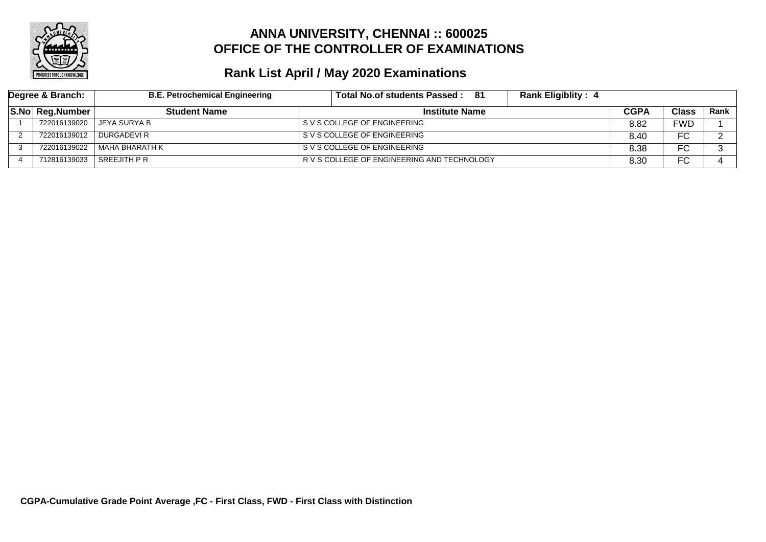

| Degree & Branch: |                  | <b>B.E. Petrochemical Engineering</b> | - 81<br><b>Rank Eligiblity: 4</b><br>Total No.of students Passed: |      |              |      |
|------------------|------------------|---------------------------------------|-------------------------------------------------------------------|------|--------------|------|
|                  | S.No  Reg.Number | <b>Student Name</b>                   | <b>Institute Name</b>                                             | CGPA | <b>Class</b> | Rank |
|                  | 722016139020     | JEYA SURYA B                          | S V S COLLEGE OF ENGINEERING                                      | 8.82 | <b>FWD</b>   |      |
|                  | 722016139012     | l DURGADEVI R                         | S V S COLLEGE OF ENGINEERING                                      | 8.40 | FC           |      |
|                  | 722016139022     | MAHA BHARATH K                        | S V S COLLEGE OF ENGINEERING                                      | 8.38 | ⊏∩<br>טי     |      |
|                  | 712816139033     | SREEJITH P R                          | R V S COLLEGE OF ENGINEERING AND TECHNOLOGY                       | 8.30 | ⊏∩<br>טי     |      |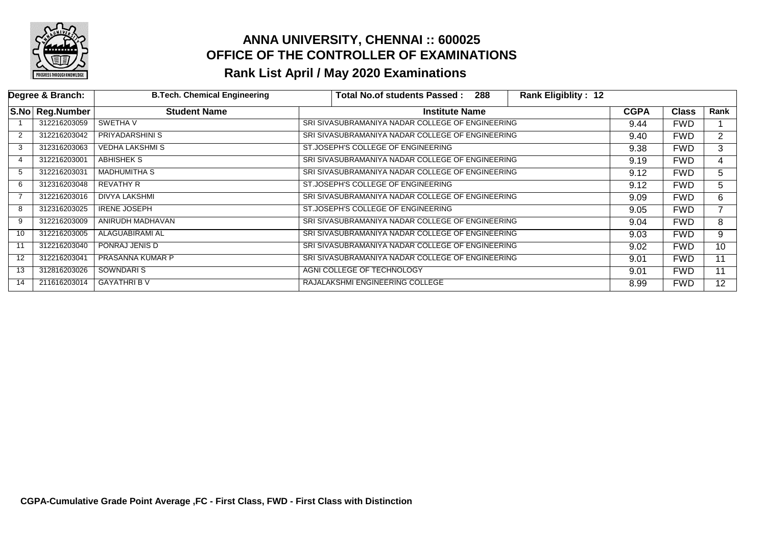

|    | Degree & Branch: | <b>B.Tech. Chemical Engineering</b> |                            | Total No.of students Passed:                     | 288 | <b>Rank Eligiblity: 12</b> |             |              |                |
|----|------------------|-------------------------------------|----------------------------|--------------------------------------------------|-----|----------------------------|-------------|--------------|----------------|
|    | S.No Reg.Number  | <b>Student Name</b>                 |                            | <b>Institute Name</b>                            |     |                            | <b>CGPA</b> | <b>Class</b> | Rank           |
|    | 312216203059     | SWETHA V                            |                            | SRI SIVASUBRAMANIYA NADAR COLLEGE OF ENGINEERING |     |                            | 9.44        | <b>FWD</b>   |                |
| 2  | 312216203042     | PRIYADARSHINI S                     |                            | SRI SIVASUBRAMANIYA NADAR COLLEGE OF ENGINEERING |     |                            | 9.40        | <b>FWD</b>   | $\overline{2}$ |
| 3  | 312316203063     | <b>VEDHA LAKSHMI S</b>              |                            | ST.JOSEPH'S COLLEGE OF ENGINEERING               |     |                            | 9.38        | <b>FWD</b>   | 3              |
| 4  | 312216203001     | <b>ABHISHEK S</b>                   |                            | SRI SIVASUBRAMANIYA NADAR COLLEGE OF ENGINEERING |     |                            | 9.19        | <b>FWD</b>   | 4              |
| 5  | 312216203031     | <b>MADHUMITHA S</b>                 |                            | SRI SIVASUBRAMANIYA NADAR COLLEGE OF ENGINEERING |     |                            | 9.12        | <b>FWD</b>   | 5.             |
| 6  | 312316203048     | REVATHY R                           |                            | ST.JOSEPH'S COLLEGE OF ENGINEERING               |     |                            | 9.12        | <b>FWD</b>   | 5              |
|    | 312216203016     | <b>DIVYA LAKSHMI</b>                |                            | SRI SIVASUBRAMANIYA NADAR COLLEGE OF ENGINEERING |     |                            | 9.09        | <b>FWD</b>   | 6              |
| 8  | 312316203025     | <b>IRENE JOSEPH</b>                 |                            | ST.JOSEPH'S COLLEGE OF ENGINEERING               |     |                            | 9.05        | <b>FWD</b>   |                |
| 9  | 312216203009     | ANIRUDH MADHAVAN                    |                            | SRI SIVASUBRAMANIYA NADAR COLLEGE OF ENGINEERING |     |                            | 9.04        | <b>FWD</b>   | 8              |
| 10 | 312216203005     | ALAGUABIRAMI AL                     |                            | SRI SIVASUBRAMANIYA NADAR COLLEGE OF ENGINEERING |     |                            | 9.03        | <b>FWD</b>   | 9              |
| 11 | 312216203040     | PONRAJ JENIS D                      |                            | SRI SIVASUBRAMANIYA NADAR COLLEGE OF ENGINEERING |     |                            | 9.02        | <b>FWD</b>   | 10             |
| 12 | 312216203041     | PRASANNA KUMAR P                    |                            | SRI SIVASUBRAMANIYA NADAR COLLEGE OF ENGINEERING |     |                            | 9.01        | <b>FWD</b>   | 11             |
| 13 | 312816203026     | SOWNDARI S                          | AGNI COLLEGE OF TECHNOLOGY |                                                  |     |                            | 9.01        | <b>FWD</b>   | 11             |
| 14 | 211616203014     | <b>GAYATHRIB V</b>                  |                            | RAJALAKSHMI ENGINEERING COLLEGE                  |     |                            | 8.99        | <b>FWD</b>   | 12             |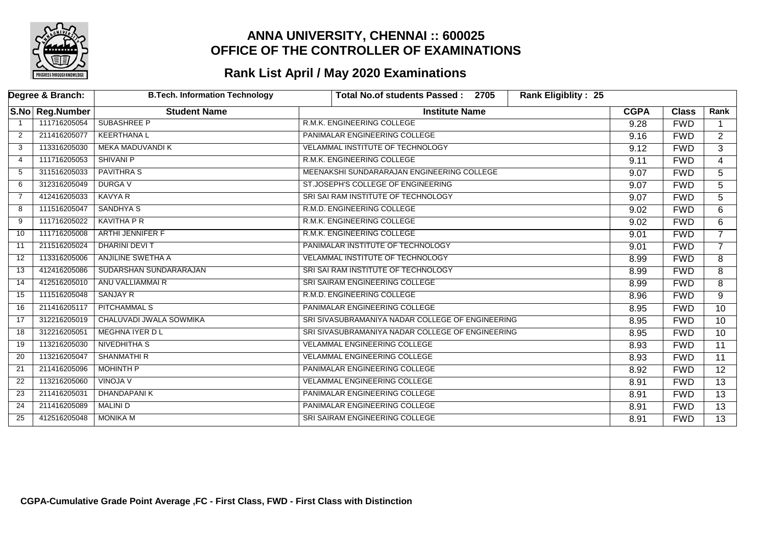

|                | Degree & Branch: | <b>B.Tech. Information Technology</b> | <b>Rank Eligiblity: 25</b><br><b>Total No.of students Passed:</b><br>2705 |             |              |                 |
|----------------|------------------|---------------------------------------|---------------------------------------------------------------------------|-------------|--------------|-----------------|
|                | S.No Reg.Number  | <b>Student Name</b>                   | <b>Institute Name</b>                                                     | <b>CGPA</b> | <b>Class</b> | Rank            |
|                | 111716205054     | <b>SUBASHREE P</b>                    | R.M.K. ENGINEERING COLLEGE                                                | 9.28        | <b>FWD</b>   |                 |
| 2              | 211416205077     | <b>KEERTHANAL</b>                     | PANIMALAR ENGINEERING COLLEGE                                             | 9.16        | <b>FWD</b>   | $\overline{2}$  |
| 3              | 113316205030     | <b>MEKA MADUVANDI K</b>               | VELAMMAL INSTITUTE OF TECHNOLOGY                                          | 9.12        | <b>FWD</b>   | $\overline{3}$  |
| 4              | 111716205053     | <b>SHIVANI P</b>                      | R.M.K. ENGINEERING COLLEGE                                                | 9.11        | <b>FWD</b>   | 4               |
| 5              | 311516205033     | <b>PAVITHRA S</b>                     | MEENAKSHI SUNDARARAJAN ENGINEERING COLLEGE                                | 9.07        | <b>FWD</b>   | 5               |
| 6              | 312316205049     | <b>DURGAV</b>                         | ST.JOSEPH'S COLLEGE OF ENGINEERING                                        | 9.07        | <b>FWD</b>   | 5               |
| $\overline{7}$ | 412416205033     | <b>KAVYA R</b>                        | SRI SAI RAM INSTITUTE OF TECHNOLOGY                                       | 9.07        | <b>FWD</b>   | 5               |
| 8              | 111516205047     | <b>SANDHYA S</b>                      | R.M.D. ENGINEERING COLLEGE                                                | 9.02        | <b>FWD</b>   | 6               |
| 9              | 111716205022     | <b>KAVITHA P R</b>                    | R.M.K. ENGINEERING COLLEGE                                                | 9.02        | <b>FWD</b>   | 6               |
| 10             | 111716205008     | ARTHI JENNIFER F                      | R.M.K. ENGINEERING COLLEGE                                                | 9.01        | <b>FWD</b>   | $\overline{7}$  |
| 11             | 211516205024     | <b>DHARINI DEVIT</b>                  | PANIMALAR INSTITUTE OF TECHNOLOGY                                         | 9.01        | <b>FWD</b>   | $\overline{7}$  |
| 12             | 113316205006     | ANJILINE SWETHA A                     | <b>VELAMMAL INSTITUTE OF TECHNOLOGY</b>                                   | 8.99        | <b>FWD</b>   | 8               |
| 13             | 412416205086     | SUDARSHAN SUNDARARAJAN                | SRI SAI RAM INSTITUTE OF TECHNOLOGY                                       | 8.99        | <b>FWD</b>   | 8               |
| 14             | 412516205010     | ANU VALLIAMMAI R                      | SRI SAIRAM ENGINEERING COLLEGE                                            | 8.99        | <b>FWD</b>   | $\overline{8}$  |
| 15             | 111516205048     | <b>SANJAY R</b>                       | R.M.D. ENGINEERING COLLEGE                                                | 8.96        | <b>FWD</b>   | 9               |
| 16             | 211416205117     | <b>PITCHAMMAL S</b>                   | PANIMALAR ENGINEERING COLLEGE                                             | 8.95        | <b>FWD</b>   | 10              |
| 17             | 312216205019     | CHALUVADI JWALA SOWMIKA               | SRI SIVASUBRAMANIYA NADAR COLLEGE OF ENGINEERING                          | 8.95        | <b>FWD</b>   | 10              |
| 18             | 312216205051     | <b>MEGHNA IYER DL</b>                 | SRI SIVASUBRAMANIYA NADAR COLLEGE OF ENGINEERING                          | 8.95        | <b>FWD</b>   | $\overline{10}$ |
| 19             | 113216205030     | <b>NIVEDHITHA S</b>                   | <b>VELAMMAL ENGINEERING COLLEGE</b>                                       | 8.93        | <b>FWD</b>   | 11              |
| 20             | 113216205047     | <b>SHANMATHIR</b>                     | <b>VELAMMAL ENGINEERING COLLEGE</b>                                       | 8.93        | <b>FWD</b>   | 11              |
| 21             | 211416205096     | <b>MOHINTH P</b>                      | PANIMALAR ENGINEERING COLLEGE                                             | 8.92        | <b>FWD</b>   | $\overline{12}$ |
| 22             | 113216205060     | <b>VINOJA V</b>                       | <b>VELAMMAL ENGINEERING COLLEGE</b>                                       | 8.91        | <b>FWD</b>   | 13              |
| 23             | 211416205031     | <b>DHANDAPANIK</b>                    | PANIMALAR ENGINEERING COLLEGE                                             | 8.91        | <b>FWD</b>   | 13              |
| 24             | 211416205089     | MALINI D                              | PANIMALAR ENGINEERING COLLEGE                                             | 8.91        | <b>FWD</b>   | $\overline{13}$ |
| 25             | 412516205048     | <b>MONIKA M</b>                       | SRI SAIRAM ENGINEERING COLLEGE                                            | 8.91        | <b>FWD</b>   | $\overline{13}$ |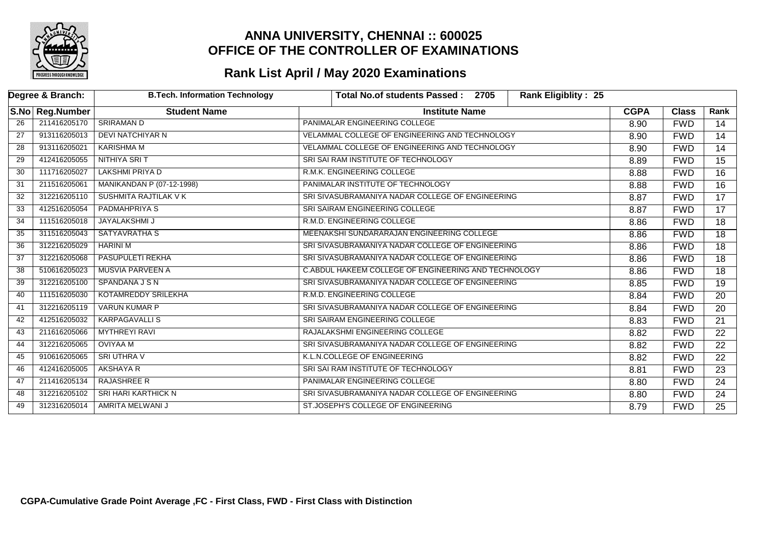

|                 | Degree & Branch: | <b>B.Tech. Information Technology</b> | <b>Total No.of students Passed:</b><br>2705<br><b>Rank Eligiblity: 25</b> |             |              |                 |
|-----------------|------------------|---------------------------------------|---------------------------------------------------------------------------|-------------|--------------|-----------------|
|                 | S.No Reg.Number  | <b>Student Name</b>                   | <b>Institute Name</b>                                                     | <b>CGPA</b> | <b>Class</b> | Rank            |
| $\overline{26}$ | 211416205170     | <b>SRIRAMAN D</b>                     | PANIMALAR ENGINEERING COLLEGE                                             | 8.90        | <b>FWD</b>   | 14              |
| 27              | 913116205013     | DEVI NATCHIYAR N                      | VELAMMAL COLLEGE OF ENGINEERING AND TECHNOLOGY                            | 8.90        | <b>FWD</b>   | 14              |
| 28              | 913116205021     | KARISHMA M                            | VELAMMAL COLLEGE OF ENGINEERING AND TECHNOLOGY                            | 8.90        | <b>FWD</b>   | 14              |
| 29              | 412416205055     | NITHIYA SRI T                         | SRI SAI RAM INSTITUTE OF TECHNOLOGY                                       | 8.89        | <b>FWD</b>   | 15              |
| 30              | 111716205027     | <b>LAKSHMI PRIYA D</b>                | R.M.K. ENGINEERING COLLEGE                                                | 8.88        | <b>FWD</b>   | 16              |
| 31              | 211516205061     | <b>MANIKANDAN P (07-12-1998)</b>      | PANIMALAR INSTITUTE OF TECHNOLOGY                                         | 8.88        | <b>FWD</b>   | $\overline{16}$ |
| 32              | 312216205110     | <b>SUSHMITA RAJTILAK V K</b>          | SRI SIVASUBRAMANIYA NADAR COLLEGE OF ENGINEERING                          | 8.87        | <b>FWD</b>   | $\overline{17}$ |
| 33              | 412516205054     | PADMAHPRIYA S                         | SRI SAIRAM ENGINEERING COLLEGE                                            | 8.87        | <b>FWD</b>   | 17              |
| 34              | 111516205018     | JAYALAKSHMI J                         | R.M.D. ENGINEERING COLLEGE                                                | 8.86        | <b>FWD</b>   | 18              |
| 35              | 311516205043     | <b>SATYAVRATHA S</b>                  | MEENAKSHI SUNDARARAJAN ENGINEERING COLLEGE                                | 8.86        | <b>FWD</b>   | 18              |
| 36              | 312216205029     | <b>HARINI M</b>                       | SRI SIVASUBRAMANIYA NADAR COLLEGE OF ENGINEERING                          | 8.86        | <b>FWD</b>   | $\overline{18}$ |
| 37              | 312216205068     | <b>PASUPULETI REKHA</b>               | SRI SIVASUBRAMANIYA NADAR COLLEGE OF ENGINEERING                          | 8.86        | <b>FWD</b>   | $\overline{18}$ |
| 38              | 510616205023     | <b>MUSVIA PARVEEN A</b>               | C.ABDUL HAKEEM COLLEGE OF ENGINEERING AND TECHNOLOGY                      | 8.86        | <b>FWD</b>   | 18              |
| 39              | 312216205100     | SPANDANA J S N                        | SRI SIVASUBRAMANIYA NADAR COLLEGE OF ENGINEERING                          | 8.85        | <b>FWD</b>   | 19              |
| 40              | 111516205030     | KOTAMREDDY SRILEKHA                   | R.M.D. ENGINEERING COLLEGE                                                | 8.84        | <b>FWD</b>   | 20              |
| 41              | 312216205119     | <b>VARUN KUMAR P</b>                  | SRI SIVASUBRAMANIYA NADAR COLLEGE OF ENGINEERING                          | 8.84        | <b>FWD</b>   | 20              |
| 42              | 412516205032     | <b>KARPAGAVALLIS</b>                  | SRI SAIRAM ENGINEERING COLLEGE                                            | 8.83        | <b>FWD</b>   | $\overline{21}$ |
| 43              | 211616205066     | <b>MYTHREYI RAVI</b>                  | RAJALAKSHMI ENGINEERING COLLEGE                                           | 8.82        | <b>FWD</b>   | $\overline{22}$ |
| 44              | 312216205065     | <b>OVIYAA M</b>                       | SRI SIVASUBRAMANIYA NADAR COLLEGE OF ENGINEERING                          | 8.82        | <b>FWD</b>   | $\overline{22}$ |
| 45              | 910616205065     | <b>SRI UTHRA V</b>                    | K.L.N.COLLEGE OF ENGINEERING                                              | 8.82        | <b>FWD</b>   | 22              |
| 46              | 412416205005     | AKSHAYA R                             | SRI SAI RAM INSTITUTE OF TECHNOLOGY                                       | 8.81        | <b>FWD</b>   | $\overline{23}$ |
| 47              | 211416205134     | <b>RAJASHREE R</b>                    | PANIMALAR ENGINEERING COLLEGE                                             | 8.80        | <b>FWD</b>   | 24              |
| 48              | 312216205102     | <b>SRI HARI KARTHICK N</b>            | SRI SIVASUBRAMANIYA NADAR COLLEGE OF ENGINEERING                          | 8.80        | <b>FWD</b>   | 24              |
| 49              | 312316205014     | AMRITA MELWANI J                      | ST.JOSEPH'S COLLEGE OF ENGINEERING                                        | 8.79        | <b>FWD</b>   | $\overline{25}$ |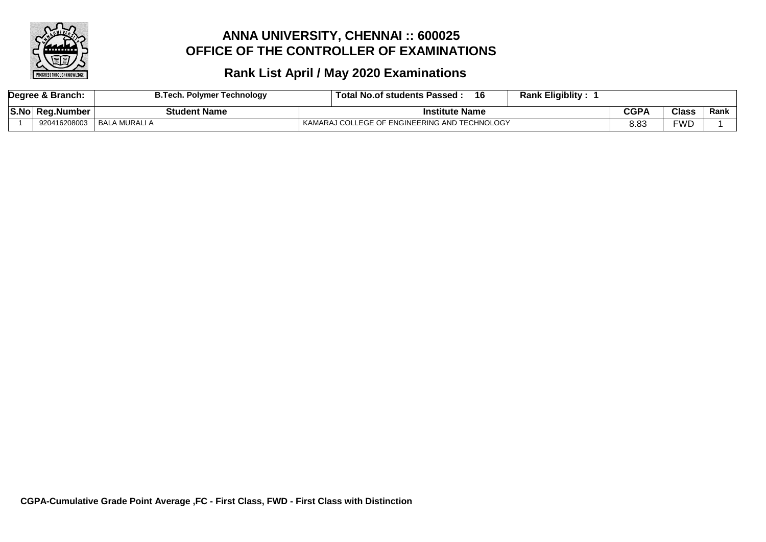

| Degree & Branch: | <b>A.Tech. Polymer Technology</b> | <b>Rank Eligiblity:</b><br>16<br>∍ Total No.of students Passed : |      |       |      |
|------------------|-----------------------------------|------------------------------------------------------------------|------|-------|------|
| S.No Reg.Number  | Student Name                      | <b>Institute Name</b>                                            | CGPA | Class | Rank |
| 920416208003     | BALA MURALI A                     | KAMARAJ COLLEGE OF ENGINEERING AND TECHNOLOGY                    | 8.83 | WC:   |      |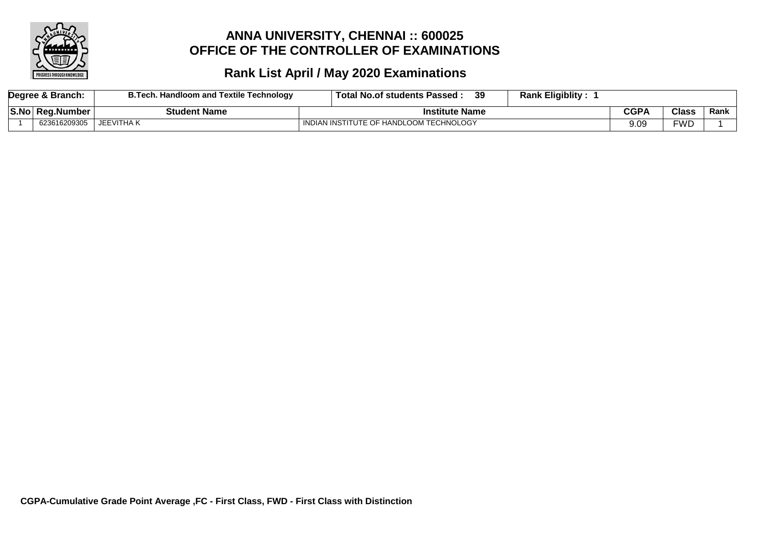

|      | Degree & Branch: | <b>B.Tech. Handloom and Textile Technology</b> | <b>Rank Eligiblity:</b><br>39<br>⊤ Total No.of students Passed : |      |              |      |
|------|------------------|------------------------------------------------|------------------------------------------------------------------|------|--------------|------|
| S.No | ∣ Rea.Number     | <b>Student Name</b>                            | <b>Institute Name</b>                                            | CGP/ | <b>Class</b> | Rank |
|      | 623616209305     | JEEVITHA K                                     | I INDIAN INSTITUTE OF HANDLOOM TECHNOLOGY                        | 9.09 | <b>FWD</b>   |      |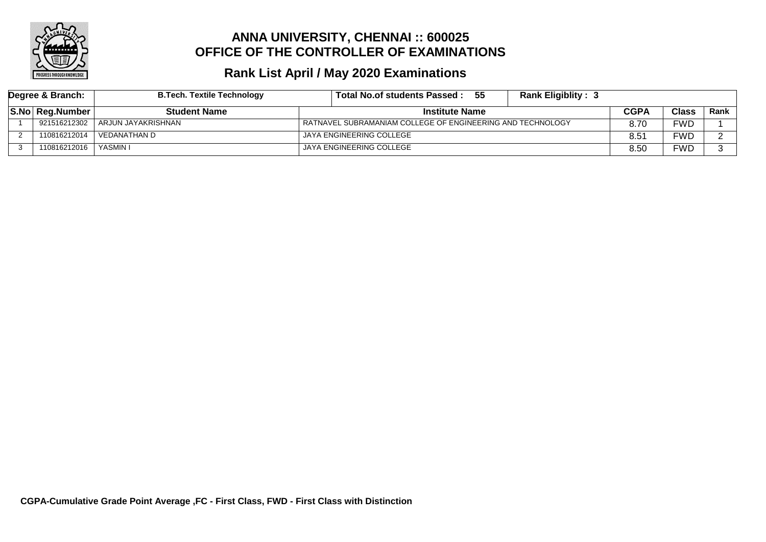

| Degree & Branch: |                 | <b>B.Tech. Textile Technology</b> | - 55<br>Total No.of students Passed :                      | <b>Rank Eligiblity: 3</b> |               |              |             |
|------------------|-----------------|-----------------------------------|------------------------------------------------------------|---------------------------|---------------|--------------|-------------|
|                  | S.No Reg.Number | <b>Student Name</b>               | <b>Institute Name</b>                                      |                           | CGPA          | <b>Class</b> | <b>Rank</b> |
|                  | 921516212302    | ARJUN JAYAKRISHNAN                | RATNAVEL SUBRAMANIAM COLLEGE OF ENGINEERING AND TECHNOLOGY |                           | 8.70          | FWD          |             |
|                  | 110816212014    | VEDANATHAN D                      | JAYA ENGINEERING COLLEGE                                   |                           | $8.5^{\circ}$ | FWD          |             |
|                  | 110816212016    | YASMIN I                          | JAYA ENGINEERING COLLEGE                                   |                           | 8.50          | FWD          |             |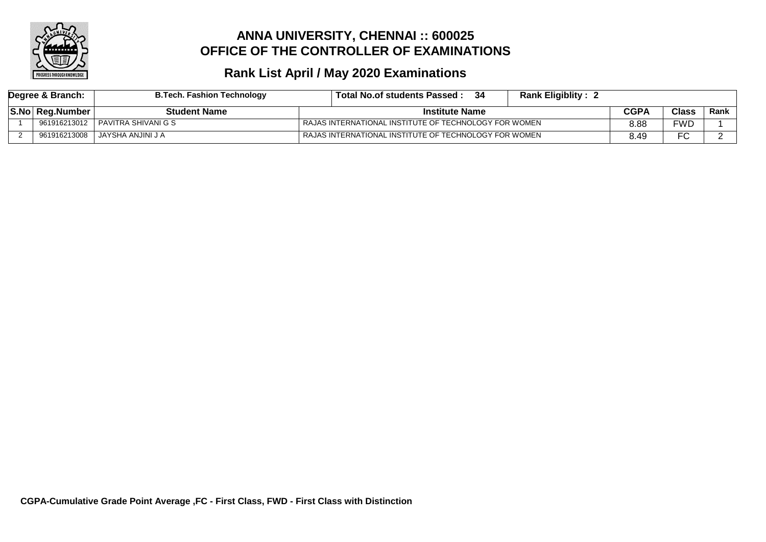

| Degree & Branch: | <b>B.Tech. Fashion Technology</b> | Total No.of students Passed :                          | <b>Rank Eligiblity: 2</b> |      |              |      |
|------------------|-----------------------------------|--------------------------------------------------------|---------------------------|------|--------------|------|
| S.No Reg.Number  | <b>Student Name</b>               | <b>Institute Name</b>                                  |                           | CGPA | <b>Class</b> | Rank |
| 961916213012     | I PAVITRA SHIVANI G S             | RAJAS INTERNATIONAL INSTITUTE OF TECHNOLOGY FOR WOMEN  |                           | 8.88 | FWD.         |      |
| 961916213008     | I JAYSHA ANJINI J A               | FRAJAS INTERNATIONAL INSTITUTE OF TECHNOLOGY FOR WOMEN |                           | 8.49 | ∼            |      |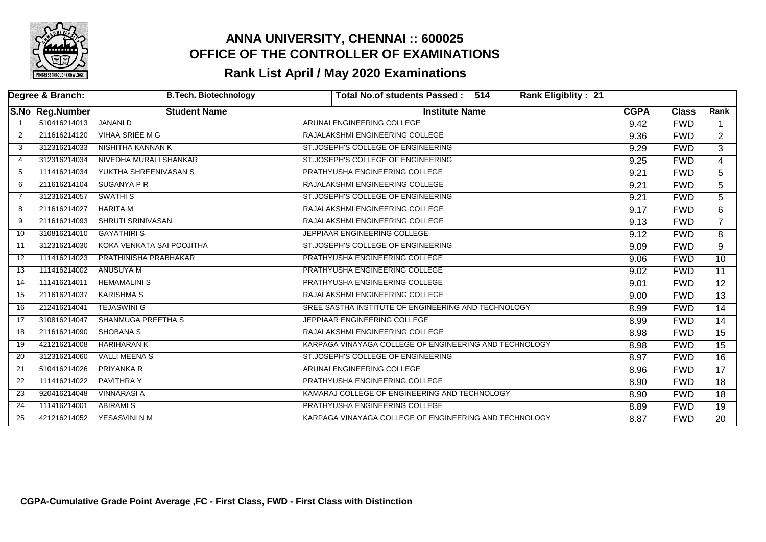

|                | Degree & Branch: | <b>B.Tech. Biotechnology</b> | Rank Eligiblity: 21<br>Total No.of students Passed: 514 |             |              |                 |
|----------------|------------------|------------------------------|---------------------------------------------------------|-------------|--------------|-----------------|
|                | S.No Reg.Number  | <b>Student Name</b>          | <b>Institute Name</b>                                   | <b>CGPA</b> | <b>Class</b> | Rank            |
|                | 510416214013     | <b>JANANI D</b>              | ARUNAI ENGINEERING COLLEGE                              | 9.42        | <b>FWD</b>   |                 |
| 2              | 211616214120     | <b>VIHAA SRIEE M G</b>       | RAJALAKSHMI ENGINEERING COLLEGE                         | 9.36        | <b>FWD</b>   | $\overline{2}$  |
| 3              | 312316214033     | NISHITHA KANNAN K            | ST.JOSEPH'S COLLEGE OF ENGINEERING                      | 9.29        | <b>FWD</b>   | 3               |
| 4              | 312316214034     | NIVEDHA MURALI SHANKAR       | ST.JOSEPH'S COLLEGE OF ENGINEERING                      | 9.25        | <b>FWD</b>   | $\overline{4}$  |
| -5             | 111416214034     | YUKTHA SHREENIVASAN S        | PRATHYUSHA ENGINEERING COLLEGE                          | 9.21        | <b>FWD</b>   | 5               |
| 6              | 211616214104     | <b>SUGANYA P R</b>           | RAJALAKSHMI ENGINEERING COLLEGE                         | 9.21        | <b>FWD</b>   | 5               |
| $\overline{7}$ | 312316214057     | <b>SWATHIS</b>               | ST.JOSEPH'S COLLEGE OF ENGINEERING                      | 9.21        | <b>FWD</b>   | $\overline{5}$  |
| 8              | 211616214027     | <b>HARITA M</b>              | RAJALAKSHMI ENGINEERING COLLEGE                         | 9.17        | <b>FWD</b>   | 6               |
| 9              | 211616214093     | <b>SHRUTI SRINIVASAN</b>     | RAJALAKSHMI ENGINEERING COLLEGE                         | 9.13        | <b>FWD</b>   |                 |
| 10             | 310816214010     | <b>GAYATHIRIS</b>            | JEPPIAAR ENGINEERING COLLEGE                            | 9.12        | <b>FWD</b>   | 8               |
| 11             | 312316214030     | KOKA VENKATA SAI POOJITHA    | ST.JOSEPH'S COLLEGE OF ENGINEERING                      | 9.09        | <b>FWD</b>   | $\overline{9}$  |
| 12             | 111416214023     | PRATHINISHA PRABHAKAR        | PRATHYUSHA ENGINEERING COLLEGE                          | 9.06        | <b>FWD</b>   | 10 <sup>°</sup> |
| 13             | 111416214002     | <b>ANUSUYA M</b>             | PRATHYUSHA ENGINEERING COLLEGE                          | 9.02        | <b>FWD</b>   | $\overline{11}$ |
| 14             | 111416214011     | <b>HEMAMALINI S</b>          | PRATHYUSHA ENGINEERING COLLEGE                          | 9.01        | <b>FWD</b>   | 12              |
| 15             | 211616214037     | <b>KARISHMA S</b>            | RAJALAKSHMI ENGINEERING COLLEGE                         | 9.00        | <b>FWD</b>   | 13              |
| 16             | 212416214041     | <b>TEJASWINI G</b>           | SREE SASTHA INSTITUTE OF ENGINEERING AND TECHNOLOGY     | 8.99        | <b>FWD</b>   | 14              |
| 17             | 310816214047     | <b>SHANMUGA PREETHA S</b>    | JEPPIAAR ENGINEERING COLLEGE                            | 8.99        | <b>FWD</b>   | 14              |
| 18             | 211616214090     | <b>SHOBANA S</b>             | RAJALAKSHMI ENGINEERING COLLEGE                         | 8.98        | <b>FWD</b>   | 15              |
| 19             | 421216214008     | <b>HARIHARAN K</b>           | KARPAGA VINAYAGA COLLEGE OF ENGINEERING AND TECHNOLOGY  | 8.98        | <b>FWD</b>   | $\overline{15}$ |
| 20             | 312316214060     | <b>VALLI MEENA S</b>         | ST.JOSEPH'S COLLEGE OF ENGINEERING                      | 8.97        | <b>FWD</b>   | 16              |
| 21             | 510416214026     | PRIYANKA R                   | ARUNAI ENGINEERING COLLEGE                              | 8.96        | <b>FWD</b>   | 17              |
| 22             | 111416214022     | <b>PAVITHRAY</b>             | PRATHYUSHA ENGINEERING COLLEGE                          | 8.90        | <b>FWD</b>   | $\overline{18}$ |
| 23             | 920416214048     | <b>VINNARASI A</b>           | KAMARAJ COLLEGE OF ENGINEERING AND TECHNOLOGY           | 8.90        | <b>FWD</b>   | 18              |
| 24             | 111416214001     | <b>ABIRAMI S</b>             | PRATHYUSHA ENGINEERING COLLEGE                          | 8.89        | <b>FWD</b>   | 19              |
| 25             | 421216214052     | YESASVINI N M                | KARPAGA VINAYAGA COLLEGE OF ENGINEERING AND TECHNOLOGY  | 8.87        | <b>FWD</b>   | 20              |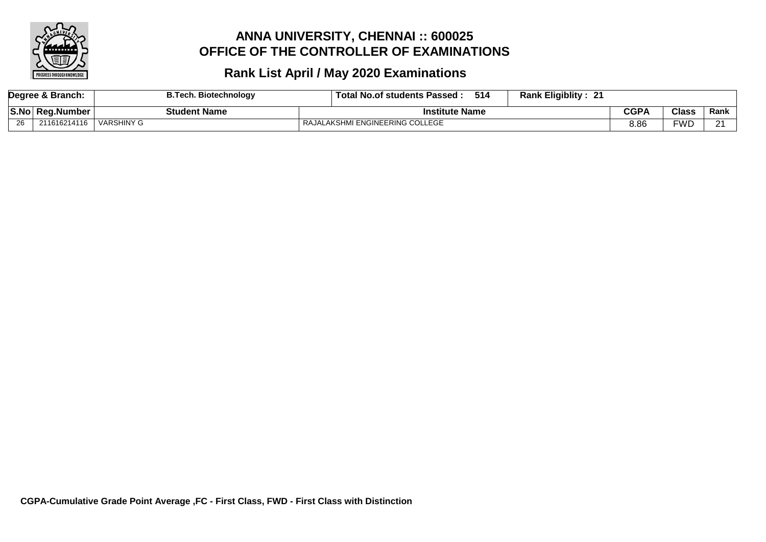

| Degree & Branch: |              | <b>B.Tech. Biotechnology</b> | <b>Rank Eligiblity:</b><br>514<br><b>Total No.of students Passed:</b><br>21 |      |              |        |
|------------------|--------------|------------------------------|-----------------------------------------------------------------------------|------|--------------|--------|
| S.No             | ∣ Rea.Number | <b>Student Name</b>          | <b>Institute Name</b>                                                       | CGPA | <b>Class</b> | Rank   |
| 26               | 211616214116 | VARSHINY G                   | RAJALAKSHMI ENGINEERING COLLEGE                                             | 8.86 | <b>FWD</b>   | $\sim$ |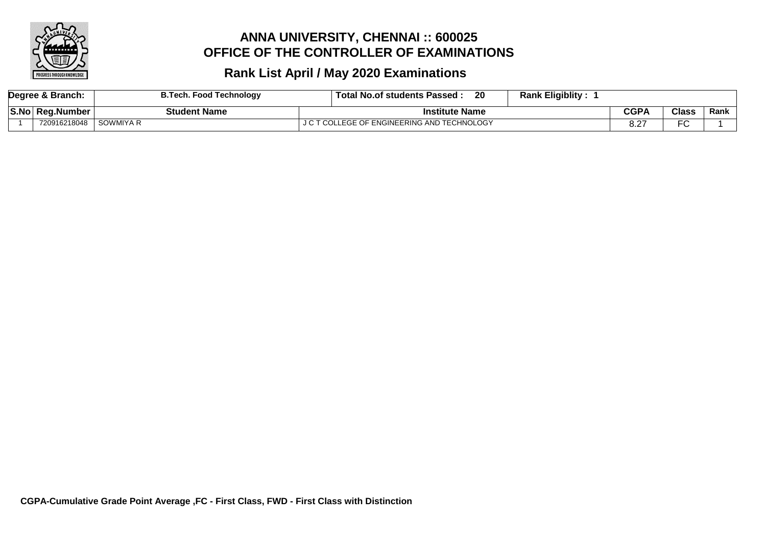

| Degree & Branch: |              | <b>B.Tech. Food Technology</b> | <b>Rank Eligiblity:</b><br>20<br>Гоtal<br><b>I No.of students Passed.</b> |            |                |      |
|------------------|--------------|--------------------------------|---------------------------------------------------------------------------|------------|----------------|------|
| S.No             | Rea.Number   | <b>Student Name</b>            | Institute Name                                                            | CGPA       | <b>Class</b>   | Rank |
|                  | 720916218048 | SOWMIYA R                      | COLLEGE OF ENGINEERING AND TECHNOLOGY                                     | റ റ<br>o.z | $\Gamma$<br>−∟ |      |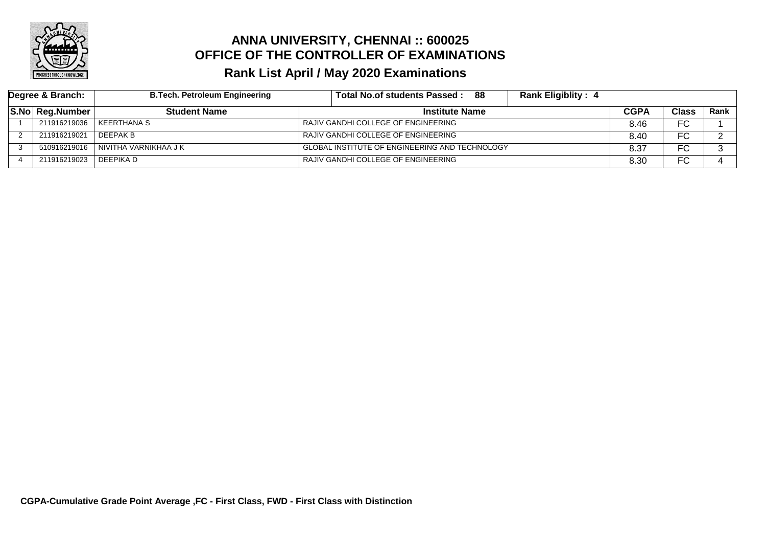

| Degree & Branch: |                 | <b>B.Tech. Petroleum Engineering</b> | Total No.of students Passed:<br>- 88                  | <b>Rank Eligiblity: 4</b> |              |             |
|------------------|-----------------|--------------------------------------|-------------------------------------------------------|---------------------------|--------------|-------------|
|                  | S.No Reg.Number | <b>Student Name</b>                  | <b>Institute Name</b>                                 | CGPA                      | <b>Class</b> | <b>Rank</b> |
|                  | 211916219036    | KEERTHANA S                          | RAJIV GANDHI COLLEGE OF ENGINEERING                   | 8.46                      | FC           |             |
|                  | 211916219021    | l DEEPAK B                           | RAJIV GANDHI COLLEGE OF ENGINEERING                   | 8.40                      | FC           |             |
|                  | 510916219016    | NIVITHA VARNIKHAA J K                | <b>GLOBAL INSTITUTE OF ENGINEERING AND TECHNOLOGY</b> | 8.37                      | FC           |             |
|                  | 211916219023    | l DEEPIKA D                          | RAJIV GANDHI COLLEGE OF ENGINEERING                   | 8.30                      | FC           |             |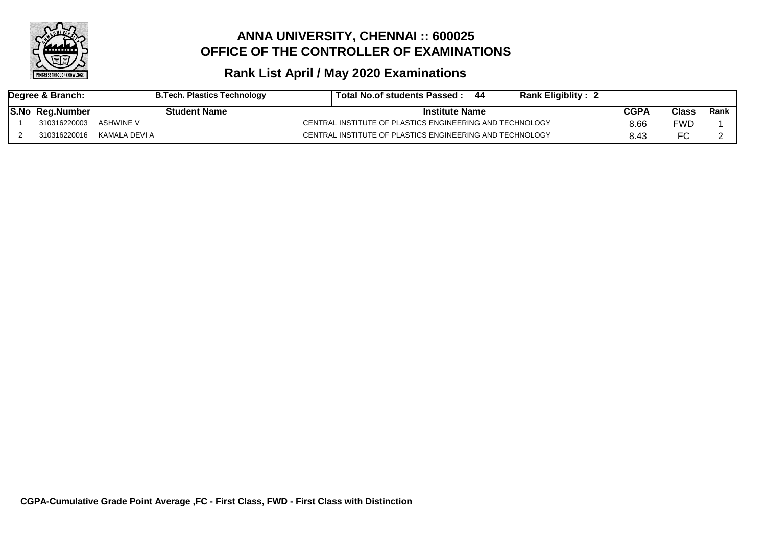

| Degree & Branch: |                 | <b>B.Tech. Plastics Technology</b> | Total No.of students Passed :                            |  | <b>Rank Eligiblity:</b> |              |        |  |
|------------------|-----------------|------------------------------------|----------------------------------------------------------|--|-------------------------|--------------|--------|--|
|                  | S.No Reg.Number | <b>Student Name</b>                | <b>Institute Name</b>                                    |  | CGPA                    | <b>Class</b> | Rank l |  |
|                  | 310316220003    | . ASHWINE V                        | CENTRAL INSTITUTE OF PLASTICS ENGINEERING AND TECHNOLOGY |  |                         | 8.66         | FWD    |  |
|                  | 310316220016    | l KAMALA DEVI A                    | CENTRAL INSTITUTE OF PLASTICS ENGINEERING AND TECHNOLOGY |  |                         | 8.43         | −∩     |  |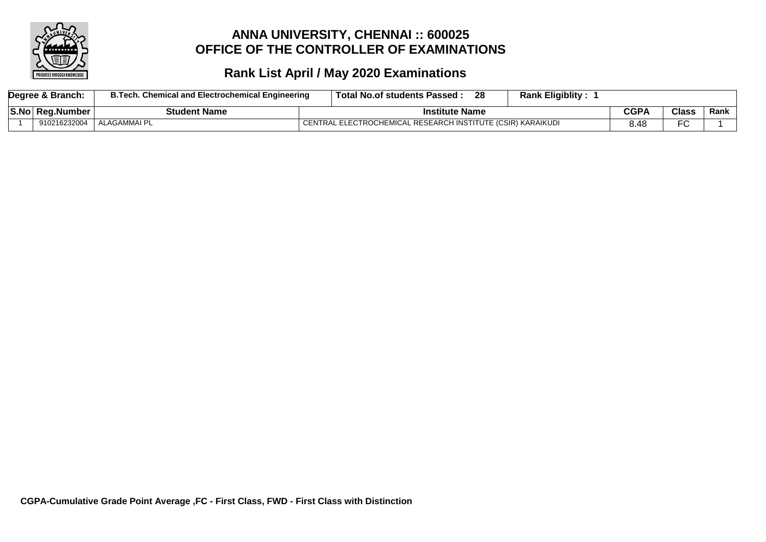

| Degree & Branch: |  |                 | <b>B.Tech. Chemical and Electrochemical Engineering</b> | <b>Rank Eligiblity:</b><br>Total No.of students Passed:     |      |              |      |
|------------------|--|-----------------|---------------------------------------------------------|-------------------------------------------------------------|------|--------------|------|
|                  |  | S.No Reg.Number | <b>Student Name</b>                                     | <b>Institute Name</b>                                       |      | <b>Class</b> | Rank |
|                  |  | 910216232004    | ALAGAMMAI PL                                            | CENTRAL ELECTROCHEMICAL RESEARCH INSTITUTE (CSIR) KARAIKUDI | 3.48 | ΓO.<br>-v    |      |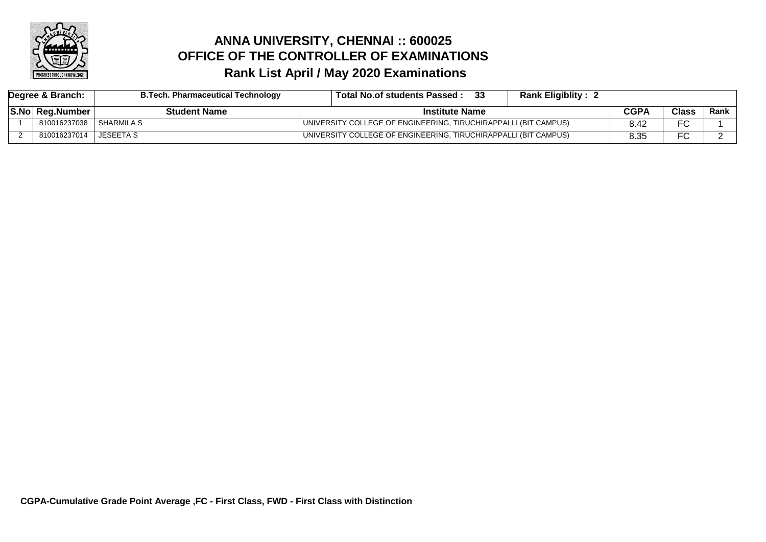

# **Rank List April / May 2020 Examinations ANNA UNIVERSITY, CHENNAI :: 600025 OFFICE OF THE CONTROLLER OF EXAMINATIONS**

| Degree & Branch: |                 | <b>B.Tech. Pharmaceutical Technology</b> | Total No.of students Passed:                                    | <b>Rank Eligiblity:</b> |      |              |        |
|------------------|-----------------|------------------------------------------|-----------------------------------------------------------------|-------------------------|------|--------------|--------|
|                  | S.No Reg.Number | Student Name                             | <b>Institute Name</b>                                           |                         | CGPA | <b>Class</b> | Rank l |
|                  | 810016237038    | I SHARMILA S                             | UNIVERSITY COLLEGE OF ENGINEERING, TIRUCHIRAPPALLI (BIT CAMPUS) |                         |      | ∼            |        |
|                  | 810016237014    | <b>JESEETA S</b>                         | UNIVERSITY COLLEGE OF ENGINEERING, TIRUCHIRAPPALLI (BIT CAMPUS) |                         | 8.35 | ∼            |        |